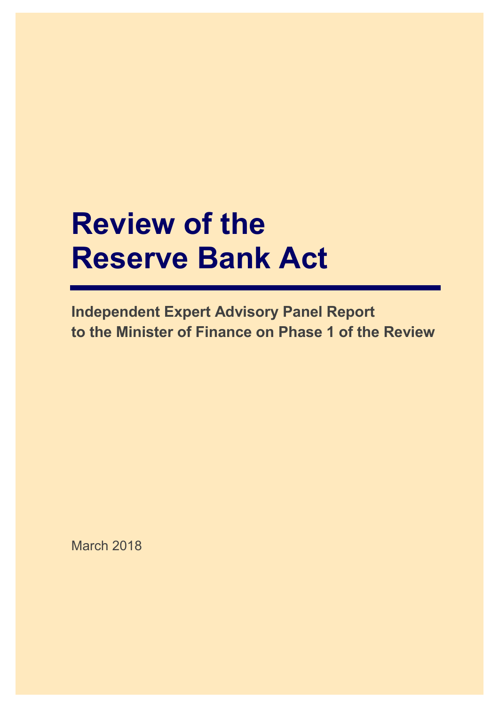# **Review of the Reserve Bank Act**

**Independent Expert Advisory Panel Report to the Minister of Finance on Phase 1 of the Review**

March 2018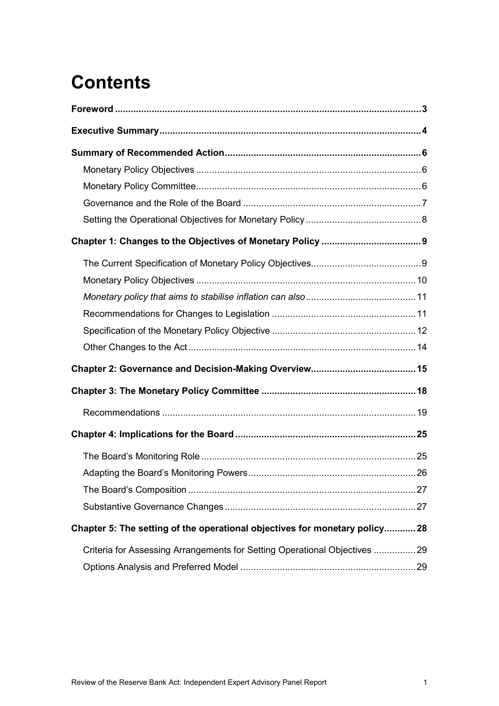## **Contents**

| Chapter 5: The setting of the operational objectives for monetary policy 28 |  |
|-----------------------------------------------------------------------------|--|
| Criteria for Assessing Arrangements for Setting Operational Objectives  29  |  |
|                                                                             |  |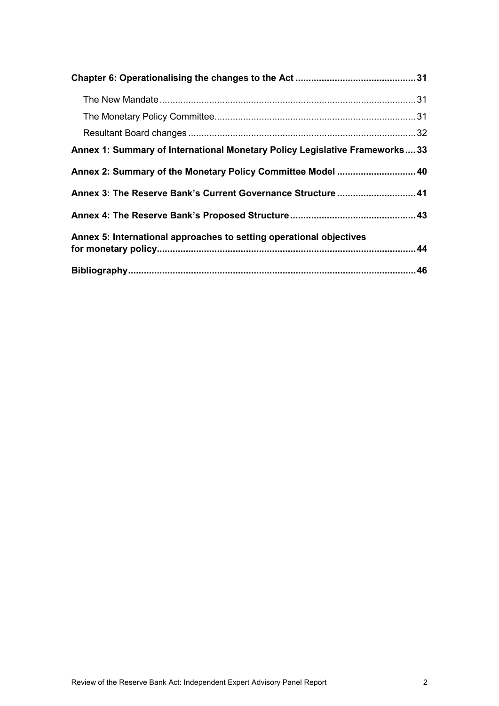| Annex 1: Summary of International Monetary Policy Legislative Frameworks33 |  |
|----------------------------------------------------------------------------|--|
| Annex 2: Summary of the Monetary Policy Committee Model  40                |  |
| Annex 3: The Reserve Bank's Current Governance Structure  41               |  |
|                                                                            |  |
| Annex 5: International approaches to setting operational objectives        |  |
|                                                                            |  |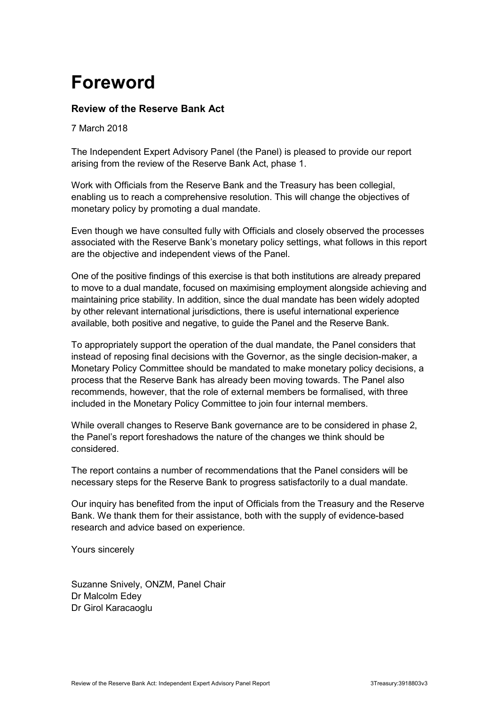## <span id="page-4-0"></span>**Foreword**

### **Review of the Reserve Bank Act**

7 March 2018

The Independent Expert Advisory Panel (the Panel) is pleased to provide our report arising from the review of the Reserve Bank Act, phase 1.

Work with Officials from the Reserve Bank and the Treasury has been collegial, enabling us to reach a comprehensive resolution. This will change the objectives of monetary policy by promoting a dual mandate.

Even though we have consulted fully with Officials and closely observed the processes associated with the Reserve Bank's monetary policy settings, what follows in this report are the objective and independent views of the Panel.

One of the positive findings of this exercise is that both institutions are already prepared to move to a dual mandate, focused on maximising employment alongside achieving and maintaining price stability. In addition, since the dual mandate has been widely adopted by other relevant international jurisdictions, there is useful international experience available, both positive and negative, to guide the Panel and the Reserve Bank.

To appropriately support the operation of the dual mandate, the Panel considers that instead of reposing final decisions with the Governor, as the single decision-maker, a Monetary Policy Committee should be mandated to make monetary policy decisions, a process that the Reserve Bank has already been moving towards. The Panel also recommends, however, that the role of external members be formalised, with three included in the Monetary Policy Committee to join four internal members.

While overall changes to Reserve Bank governance are to be considered in phase 2, the Panel's report foreshadows the nature of the changes we think should be considered.

The report contains a number of recommendations that the Panel considers will be necessary steps for the Reserve Bank to progress satisfactorily to a dual mandate.

Our inquiry has benefited from the input of Officials from the Treasury and the Reserve Bank. We thank them for their assistance, both with the supply of evidence-based research and advice based on experience.

Yours sincerely

Suzanne Snively, ONZM, Panel Chair Dr Malcolm Edey Dr Girol Karacaoglu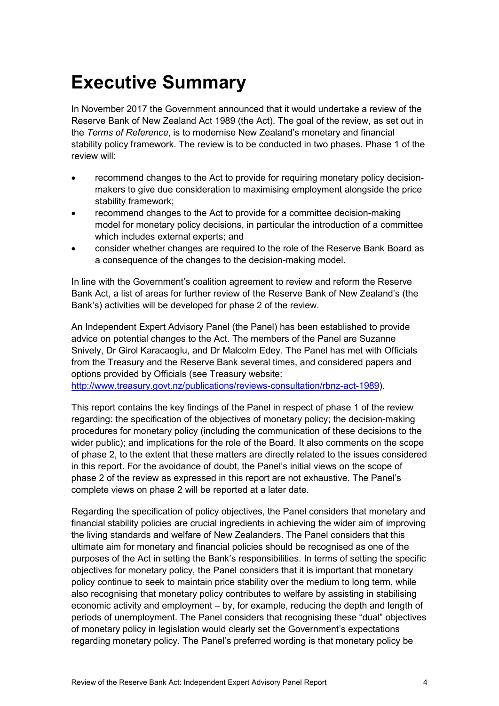## <span id="page-5-0"></span>**Executive Summary**

In November 2017 the Government announced that it would undertake a review of the Reserve Bank of New Zealand Act 1989 (the Act). The goal of the review, as set out in the *Terms of Reference*, is to modernise New Zealand's monetary and financial stability policy framework. The review is to be conducted in two phases. Phase 1 of the review will:

- recommend changes to the Act to provide for requiring monetary policy decisionmakers to give due consideration to maximising employment alongside the price stability framework;
- recommend changes to the Act to provide for a committee decision-making model for monetary policy decisions, in particular the introduction of a committee which includes external experts; and
- consider whether changes are required to the role of the Reserve Bank Board as a consequence of the changes to the decision-making model.

In line with the Government's coalition agreement to review and reform the Reserve Bank Act, a list of areas for further review of the Reserve Bank of New Zealand's (the Bank's) activities will be developed for phase 2 of the review.

An Independent Expert Advisory Panel (the Panel) has been established to provide advice on potential changes to the Act. The members of the Panel are Suzanne Snively, Dr Girol Karacaoglu, and Dr Malcolm Edey. The Panel has met with Officials from the Treasury and the Reserve Bank several times, and considered papers and options provided by Officials (see Treasury website:

[http://www.treasury.govt.nz/publications/reviews-consultation/rbnz-act-1989\)](http://www.treasury.govt.nz/publications/reviews-consultation/rbnz-act-1989).

This report contains the key findings of the Panel in respect of phase 1 of the review regarding: the specification of the objectives of monetary policy; the decision-making procedures for monetary policy (including the communication of these decisions to the wider public); and implications for the role of the Board. It also comments on the scope of phase 2, to the extent that these matters are directly related to the issues considered in this report. For the avoidance of doubt, the Panel's initial views on the scope of phase 2 of the review as expressed in this report are not exhaustive. The Panel's complete views on phase 2 will be reported at a later date.

Regarding the specification of policy objectives, the Panel considers that monetary and financial stability policies are crucial ingredients in achieving the wider aim of improving the living standards and welfare of New Zealanders. The Panel considers that this ultimate aim for monetary and financial policies should be recognised as one of the purposes of the Act in setting the Bank's responsibilities. In terms of setting the specific objectives for monetary policy, the Panel considers that it is important that monetary policy continue to seek to maintain price stability over the medium to long term, while also recognising that monetary policy contributes to welfare by assisting in stabilising economic activity and employment – by, for example, reducing the depth and length of periods of unemployment. The Panel considers that recognising these "dual" objectives of monetary policy in legislation would clearly set the Government's expectations regarding monetary policy. The Panel's preferred wording is that monetary policy be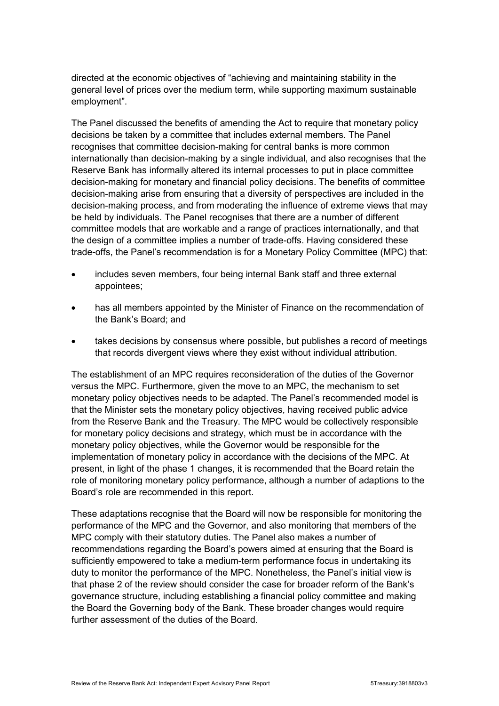directed at the economic objectives of "achieving and maintaining stability in the general level of prices over the medium term, while supporting maximum sustainable employment".

The Panel discussed the benefits of amending the Act to require that monetary policy decisions be taken by a committee that includes external members. The Panel recognises that committee decision-making for central banks is more common internationally than decision-making by a single individual, and also recognises that the Reserve Bank has informally altered its internal processes to put in place committee decision-making for monetary and financial policy decisions. The benefits of committee decision-making arise from ensuring that a diversity of perspectives are included in the decision-making process, and from moderating the influence of extreme views that may be held by individuals. The Panel recognises that there are a number of different committee models that are workable and a range of practices internationally, and that the design of a committee implies a number of trade-offs. Having considered these trade-offs, the Panel's recommendation is for a Monetary Policy Committee (MPC) that:

- includes seven members, four being internal Bank staff and three external appointees;
- has all members appointed by the Minister of Finance on the recommendation of the Bank's Board; and
- takes decisions by consensus where possible, but publishes a record of meetings that records divergent views where they exist without individual attribution.

The establishment of an MPC requires reconsideration of the duties of the Governor versus the MPC. Furthermore, given the move to an MPC, the mechanism to set monetary policy objectives needs to be adapted. The Panel's recommended model is that the Minister sets the monetary policy objectives, having received public advice from the Reserve Bank and the Treasury. The MPC would be collectively responsible for monetary policy decisions and strategy, which must be in accordance with the monetary policy objectives, while the Governor would be responsible for the implementation of monetary policy in accordance with the decisions of the MPC. At present, in light of the phase 1 changes, it is recommended that the Board retain the role of monitoring monetary policy performance, although a number of adaptions to the Board's role are recommended in this report.

These adaptations recognise that the Board will now be responsible for monitoring the performance of the MPC and the Governor, and also monitoring that members of the MPC comply with their statutory duties. The Panel also makes a number of recommendations regarding the Board's powers aimed at ensuring that the Board is sufficiently empowered to take a medium-term performance focus in undertaking its duty to monitor the performance of the MPC. Nonetheless, the Panel's initial view is that phase 2 of the review should consider the case for broader reform of the Bank's governance structure, including establishing a financial policy committee and making the Board the Governing body of the Bank. These broader changes would require further assessment of the duties of the Board.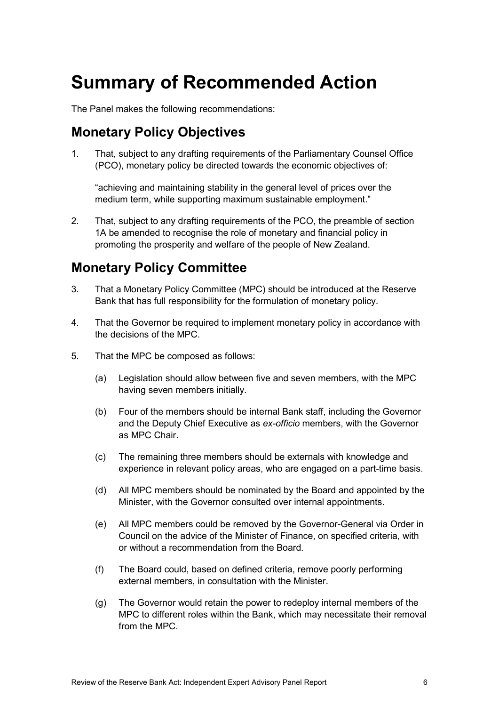## <span id="page-7-0"></span>**Summary of Recommended Action**

The Panel makes the following recommendations:

### <span id="page-7-1"></span>**Monetary Policy Objectives**

1. That, subject to any drafting requirements of the Parliamentary Counsel Office (PCO), monetary policy be directed towards the economic objectives of:

"achieving and maintaining stability in the general level of prices over the medium term, while supporting maximum sustainable employment."

2. That, subject to any drafting requirements of the PCO, the preamble of section 1A be amended to recognise the role of monetary and financial policy in promoting the prosperity and welfare of the people of New Zealand.

### <span id="page-7-2"></span>**Monetary Policy Committee**

- 3. That a Monetary Policy Committee (MPC) should be introduced at the Reserve Bank that has full responsibility for the formulation of monetary policy.
- 4. That the Governor be required to implement monetary policy in accordance with the decisions of the MPC.
- 5. That the MPC be composed as follows:
	- (a) Legislation should allow between five and seven members, with the MPC having seven members initially.
	- (b) Four of the members should be internal Bank staff, including the Governor and the Deputy Chief Executive as *ex-officio* members, with the Governor as MPC Chair.
	- (c) The remaining three members should be externals with knowledge and experience in relevant policy areas, who are engaged on a part-time basis.
	- (d) All MPC members should be nominated by the Board and appointed by the Minister, with the Governor consulted over internal appointments.
	- (e) All MPC members could be removed by the Governor-General via Order in Council on the advice of the Minister of Finance, on specified criteria, with or without a recommendation from the Board.
	- (f) The Board could, based on defined criteria, remove poorly performing external members, in consultation with the Minister.
	- (g) The Governor would retain the power to redeploy internal members of the MPC to different roles within the Bank, which may necessitate their removal from the MPC.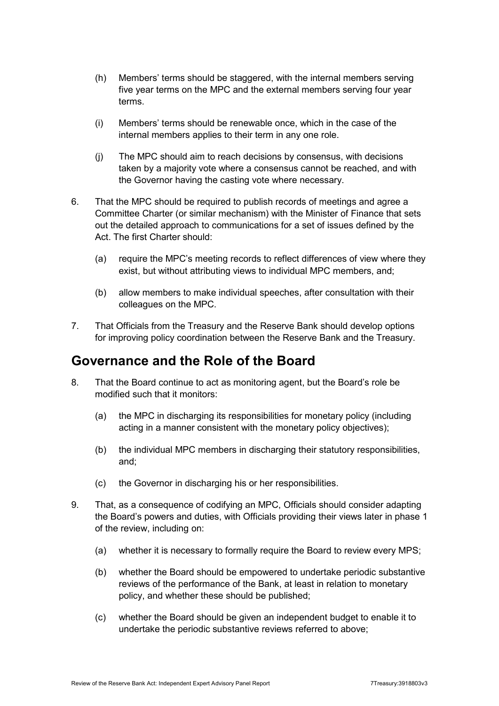- (h) Members' terms should be staggered, with the internal members serving five year terms on the MPC and the external members serving four year terms.
- (i) Members' terms should be renewable once, which in the case of the internal members applies to their term in any one role.
- (j) The MPC should aim to reach decisions by consensus, with decisions taken by a majority vote where a consensus cannot be reached, and with the Governor having the casting vote where necessary.
- 6. That the MPC should be required to publish records of meetings and agree a Committee Charter (or similar mechanism) with the Minister of Finance that sets out the detailed approach to communications for a set of issues defined by the Act. The first Charter should:
	- (a) require the MPC's meeting records to reflect differences of view where they exist, but without attributing views to individual MPC members, and;
	- (b) allow members to make individual speeches, after consultation with their colleagues on the MPC.
- 7. That Officials from the Treasury and the Reserve Bank should develop options for improving policy coordination between the Reserve Bank and the Treasury.

### <span id="page-8-0"></span>**Governance and the Role of the Board**

- 8. That the Board continue to act as monitoring agent, but the Board's role be modified such that it monitors:
	- (a) the MPC in discharging its responsibilities for monetary policy (including acting in a manner consistent with the monetary policy objectives);
	- (b) the individual MPC members in discharging their statutory responsibilities, and;
	- (c) the Governor in discharging his or her responsibilities.
- 9. That, as a consequence of codifying an MPC, Officials should consider adapting the Board's powers and duties, with Officials providing their views later in phase 1 of the review, including on:
	- (a) whether it is necessary to formally require the Board to review every MPS;
	- (b) whether the Board should be empowered to undertake periodic substantive reviews of the performance of the Bank, at least in relation to monetary policy, and whether these should be published;
	- (c) whether the Board should be given an independent budget to enable it to undertake the periodic substantive reviews referred to above;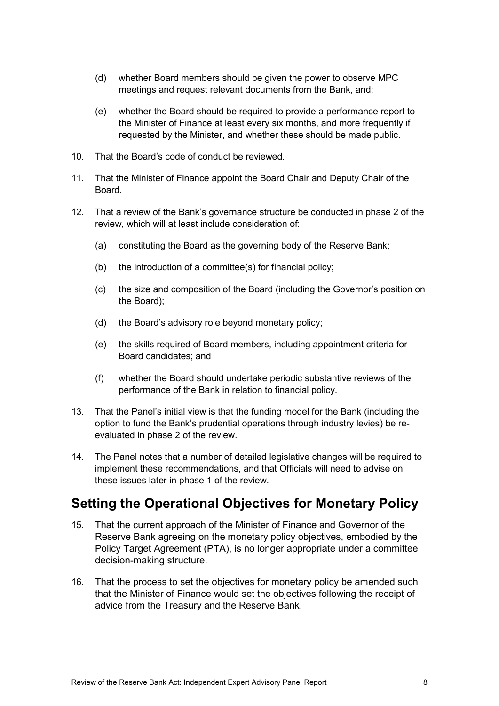- (d) whether Board members should be given the power to observe MPC meetings and request relevant documents from the Bank, and;
- (e) whether the Board should be required to provide a performance report to the Minister of Finance at least every six months, and more frequently if requested by the Minister, and whether these should be made public.
- 10. That the Board's code of conduct be reviewed.
- 11. That the Minister of Finance appoint the Board Chair and Deputy Chair of the Board.
- 12. That a review of the Bank's governance structure be conducted in phase 2 of the review, which will at least include consideration of:
	- (a) constituting the Board as the governing body of the Reserve Bank;
	- (b) the introduction of a committee(s) for financial policy;
	- (c) the size and composition of the Board (including the Governor's position on the Board);
	- (d) the Board's advisory role beyond monetary policy;
	- (e) the skills required of Board members, including appointment criteria for Board candidates; and
	- (f) whether the Board should undertake periodic substantive reviews of the performance of the Bank in relation to financial policy.
- 13. That the Panel's initial view is that the funding model for the Bank (including the option to fund the Bank's prudential operations through industry levies) be reevaluated in phase 2 of the review.
- 14. The Panel notes that a number of detailed legislative changes will be required to implement these recommendations, and that Officials will need to advise on these issues later in phase 1 of the review.

## <span id="page-9-0"></span>**Setting the Operational Objectives for Monetary Policy**

- 15. That the current approach of the Minister of Finance and Governor of the Reserve Bank agreeing on the monetary policy objectives, embodied by the Policy Target Agreement (PTA), is no longer appropriate under a committee decision-making structure.
- 16. That the process to set the objectives for monetary policy be amended such that the Minister of Finance would set the objectives following the receipt of advice from the Treasury and the Reserve Bank.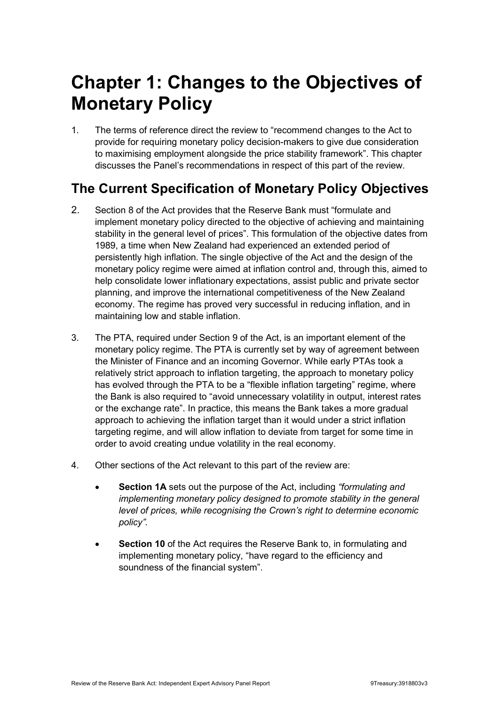## <span id="page-10-0"></span>**Chapter 1: Changes to the Objectives of Monetary Policy**

1. The terms of reference direct the review to "recommend changes to the Act to provide for requiring monetary policy decision-makers to give due consideration to maximising employment alongside the price stability framework". This chapter discusses the Panel's recommendations in respect of this part of the review.

## <span id="page-10-1"></span>**The Current Specification of Monetary Policy Objectives**

- 2. Section 8 of the Act provides that the Reserve Bank must "formulate and implement monetary policy directed to the objective of achieving and maintaining stability in the general level of prices". This formulation of the objective dates from 1989, a time when New Zealand had experienced an extended period of persistently high inflation. The single objective of the Act and the design of the monetary policy regime were aimed at inflation control and, through this, aimed to help consolidate lower inflationary expectations, assist public and private sector planning, and improve the international competitiveness of the New Zealand economy. The regime has proved very successful in reducing inflation, and in maintaining low and stable inflation.
- 3. The PTA, required under Section 9 of the Act, is an important element of the monetary policy regime. The PTA is currently set by way of agreement between the Minister of Finance and an incoming Governor. While early PTAs took a relatively strict approach to inflation targeting, the approach to monetary policy has evolved through the PTA to be a "flexible inflation targeting" regime, where the Bank is also required to "avoid unnecessary volatility in output, interest rates or the exchange rate". In practice, this means the Bank takes a more gradual approach to achieving the inflation target than it would under a strict inflation targeting regime, and will allow inflation to deviate from target for some time in order to avoid creating undue volatility in the real economy.
- 4. Other sections of the Act relevant to this part of the review are:
	- **Section 1A** sets out the purpose of the Act, including *"formulating and implementing monetary policy designed to promote stability in the general level of prices, while recognising the Crown's right to determine economic policy".*
	- **Section 10** of the Act requires the Reserve Bank to, in formulating and implementing monetary policy, "have regard to the efficiency and soundness of the financial system".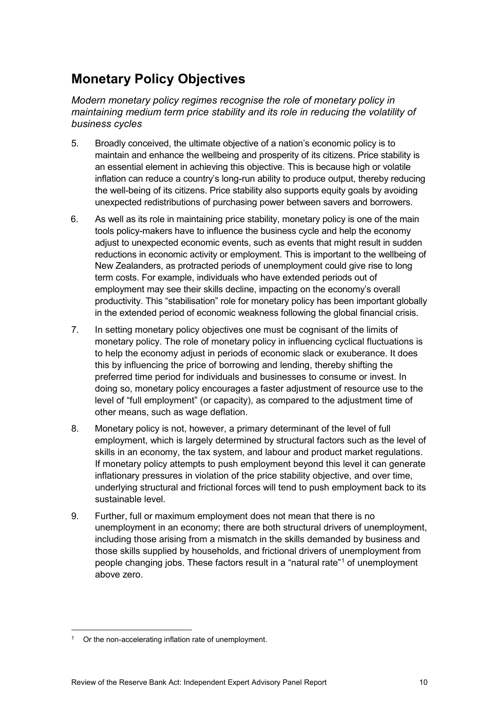## <span id="page-11-0"></span>**Monetary Policy Objectives**

*Modern monetary policy regimes recognise the role of monetary policy in maintaining medium term price stability and its role in reducing the volatility of business cycles*

- 5. Broadly conceived, the ultimate objective of a nation's economic policy is to maintain and enhance the wellbeing and prosperity of its citizens. Price stability is an essential element in achieving this objective. This is because high or volatile inflation can reduce a country's long-run ability to produce output, thereby reducing the well-being of its citizens. Price stability also supports equity goals by avoiding unexpected redistributions of purchasing power between savers and borrowers.
- 6. As well as its role in maintaining price stability, monetary policy is one of the main tools policy-makers have to influence the business cycle and help the economy adjust to unexpected economic events, such as events that might result in sudden reductions in economic activity or employment. This is important to the wellbeing of New Zealanders, as protracted periods of unemployment could give rise to long term costs. For example, individuals who have extended periods out of employment may see their skills decline, impacting on the economy's overall productivity. This "stabilisation" role for monetary policy has been important globally in the extended period of economic weakness following the global financial crisis.
- 7. In setting monetary policy objectives one must be cognisant of the limits of monetary policy. The role of monetary policy in influencing cyclical fluctuations is to help the economy adjust in periods of economic slack or exuberance. It does this by influencing the price of borrowing and lending, thereby shifting the preferred time period for individuals and businesses to consume or invest. In doing so, monetary policy encourages a faster adjustment of resource use to the level of "full employment" (or capacity), as compared to the adjustment time of other means, such as wage deflation.
- 8. Monetary policy is not, however, a primary determinant of the level of full employment, which is largely determined by structural factors such as the level of skills in an economy, the tax system, and labour and product market regulations. If monetary policy attempts to push employment beyond this level it can generate inflationary pressures in violation of the price stability objective, and over time, underlying structural and frictional forces will tend to push employment back to its sustainable level.
- 9. Further, full or maximum employment does not mean that there is no unemployment in an economy; there are both structural drivers of unemployment, including those arising from a mismatch in the skills demanded by business and those skills supplied by households, and frictional drivers of unemployment from people changing jobs. These factors result in a "natural rate"[1](#page-11-1) of unemployment above zero.

<span id="page-11-1"></span><sup>&</sup>lt;sup>1</sup> Or the non-accelerating inflation rate of unemployment.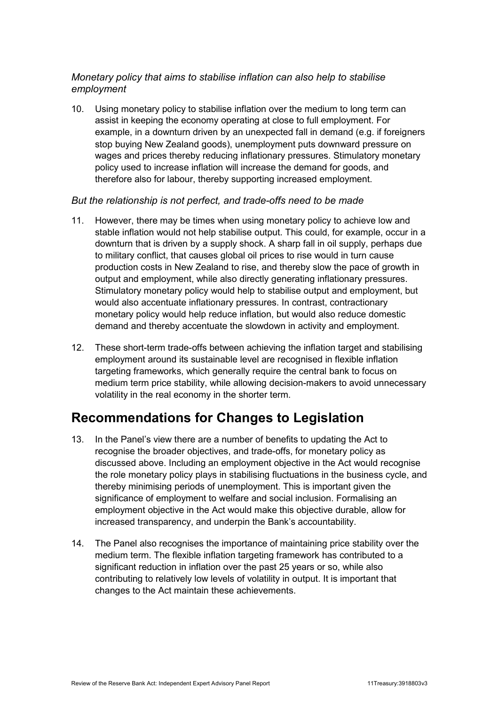### <span id="page-12-0"></span>*Monetary policy that aims to stabilise inflation can also help to stabilise employment*

10. Using monetary policy to stabilise inflation over the medium to long term can assist in keeping the economy operating at close to full employment. For example, in a downturn driven by an unexpected fall in demand (e.g. if foreigners stop buying New Zealand goods), unemployment puts downward pressure on wages and prices thereby reducing inflationary pressures. Stimulatory monetary policy used to increase inflation will increase the demand for goods, and therefore also for labour, thereby supporting increased employment.

#### *But the relationship is not perfect, and trade-offs need to be made*

- 11. However, there may be times when using monetary policy to achieve low and stable inflation would not help stabilise output. This could, for example, occur in a downturn that is driven by a supply shock. A sharp fall in oil supply, perhaps due to military conflict, that causes global oil prices to rise would in turn cause production costs in New Zealand to rise, and thereby slow the pace of growth in output and employment, while also directly generating inflationary pressures. Stimulatory monetary policy would help to stabilise output and employment, but would also accentuate inflationary pressures. In contrast, contractionary monetary policy would help reduce inflation, but would also reduce domestic demand and thereby accentuate the slowdown in activity and employment.
- 12. These short-term trade-offs between achieving the inflation target and stabilising employment around its sustainable level are recognised in flexible inflation targeting frameworks, which generally require the central bank to focus on medium term price stability, while allowing decision-makers to avoid unnecessary volatility in the real economy in the shorter term.

### <span id="page-12-1"></span>**Recommendations for Changes to Legislation**

- 13. In the Panel's view there are a number of benefits to updating the Act to recognise the broader objectives, and trade-offs, for monetary policy as discussed above. Including an employment objective in the Act would recognise the role monetary policy plays in stabilising fluctuations in the business cycle, and thereby minimising periods of unemployment. This is important given the significance of employment to welfare and social inclusion. Formalising an employment objective in the Act would make this objective durable, allow for increased transparency, and underpin the Bank's accountability.
- 14. The Panel also recognises the importance of maintaining price stability over the medium term. The flexible inflation targeting framework has contributed to a significant reduction in inflation over the past 25 years or so, while also contributing to relatively low levels of volatility in output. It is important that changes to the Act maintain these achievements.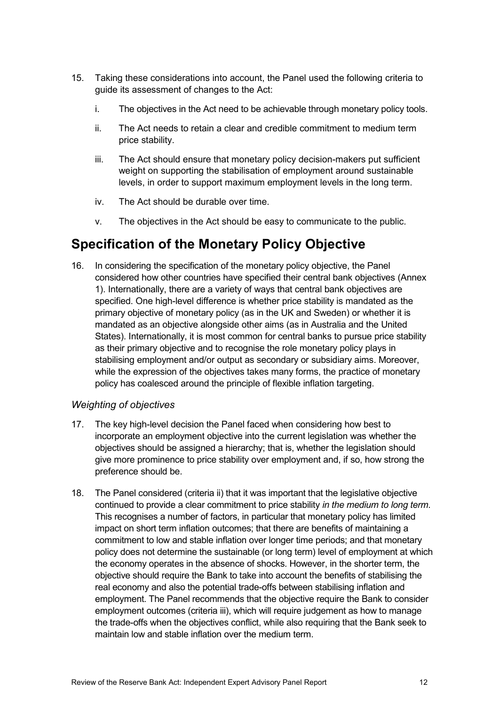- 15. Taking these considerations into account, the Panel used the following criteria to guide its assessment of changes to the Act:
	- i. The objectives in the Act need to be achievable through monetary policy tools.
	- ii. The Act needs to retain a clear and credible commitment to medium term price stability.
	- iii. The Act should ensure that monetary policy decision-makers put sufficient weight on supporting the stabilisation of employment around sustainable levels, in order to support maximum employment levels in the long term.
	- iv. The Act should be durable over time.
	- v. The objectives in the Act should be easy to communicate to the public.

## <span id="page-13-0"></span>**Specification of the Monetary Policy Objective**

16. In considering the specification of the monetary policy objective, the Panel considered how other countries have specified their central bank objectives (Annex 1). Internationally, there are a variety of ways that central bank objectives are specified. One high-level difference is whether price stability is mandated as the primary objective of monetary policy (as in the UK and Sweden) or whether it is mandated as an objective alongside other aims (as in Australia and the United States). Internationally, it is most common for central banks to pursue price stability as their primary objective and to recognise the role monetary policy plays in stabilising employment and/or output as secondary or subsidiary aims. Moreover, while the expression of the objectives takes many forms, the practice of monetary policy has coalesced around the principle of flexible inflation targeting.

### *Weighting of objectives*

- 17. The key high-level decision the Panel faced when considering how best to incorporate an employment objective into the current legislation was whether the objectives should be assigned a hierarchy; that is, whether the legislation should give more prominence to price stability over employment and, if so, how strong the preference should be.
- 18. The Panel considered (criteria ii) that it was important that the legislative objective continued to provide a clear commitment to price stability *in the medium to long term*. This recognises a number of factors, in particular that monetary policy has limited impact on short term inflation outcomes; that there are benefits of maintaining a commitment to low and stable inflation over longer time periods; and that monetary policy does not determine the sustainable (or long term) level of employment at which the economy operates in the absence of shocks. However, in the shorter term, the objective should require the Bank to take into account the benefits of stabilising the real economy and also the potential trade-offs between stabilising inflation and employment. The Panel recommends that the objective require the Bank to consider employment outcomes (criteria iii), which will require judgement as how to manage the trade-offs when the objectives conflict, while also requiring that the Bank seek to maintain low and stable inflation over the medium term.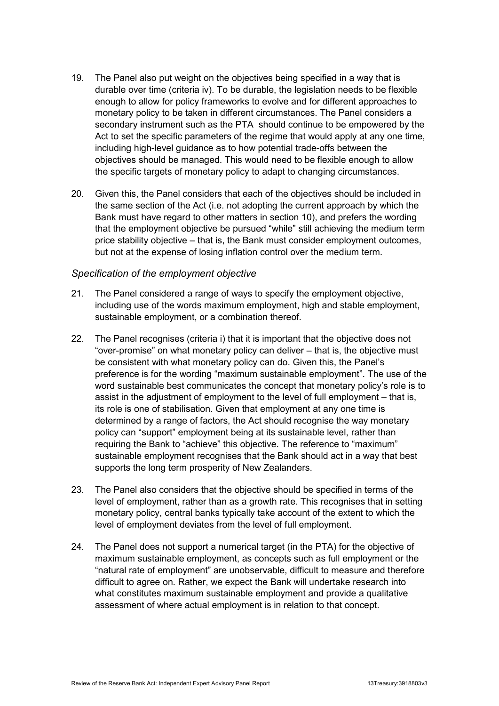- 19. The Panel also put weight on the objectives being specified in a way that is durable over time (criteria iv). To be durable, the legislation needs to be flexible enough to allow for policy frameworks to evolve and for different approaches to monetary policy to be taken in different circumstances. The Panel considers a secondary instrument such as the PTA should continue to be empowered by the Act to set the specific parameters of the regime that would apply at any one time, including high-level guidance as to how potential trade-offs between the objectives should be managed. This would need to be flexible enough to allow the specific targets of monetary policy to adapt to changing circumstances.
- 20. Given this, the Panel considers that each of the objectives should be included in the same section of the Act (i.e. not adopting the current approach by which the Bank must have regard to other matters in section 10), and prefers the wording that the employment objective be pursued "while" still achieving the medium term price stability objective – that is, the Bank must consider employment outcomes, but not at the expense of losing inflation control over the medium term.

#### *Specification of the employment objective*

- 21. The Panel considered a range of ways to specify the employment objective, including use of the words maximum employment, high and stable employment, sustainable employment, or a combination thereof.
- 22. The Panel recognises (criteria i) that it is important that the objective does not "over-promise" on what monetary policy can deliver – that is, the objective must be consistent with what monetary policy can do. Given this, the Panel's preference is for the wording "maximum sustainable employment". The use of the word sustainable best communicates the concept that monetary policy's role is to assist in the adjustment of employment to the level of full employment – that is, its role is one of stabilisation. Given that employment at any one time is determined by a range of factors, the Act should recognise the way monetary policy can "support" employment being at its sustainable level, rather than requiring the Bank to "achieve" this objective. The reference to "maximum" sustainable employment recognises that the Bank should act in a way that best supports the long term prosperity of New Zealanders.
- 23. The Panel also considers that the objective should be specified in terms of the level of employment, rather than as a growth rate. This recognises that in setting monetary policy, central banks typically take account of the extent to which the level of employment deviates from the level of full employment.
- 24. The Panel does not support a numerical target (in the PTA) for the objective of maximum sustainable employment, as concepts such as full employment or the "natural rate of employment" are unobservable, difficult to measure and therefore difficult to agree on. Rather, we expect the Bank will undertake research into what constitutes maximum sustainable employment and provide a qualitative assessment of where actual employment is in relation to that concept.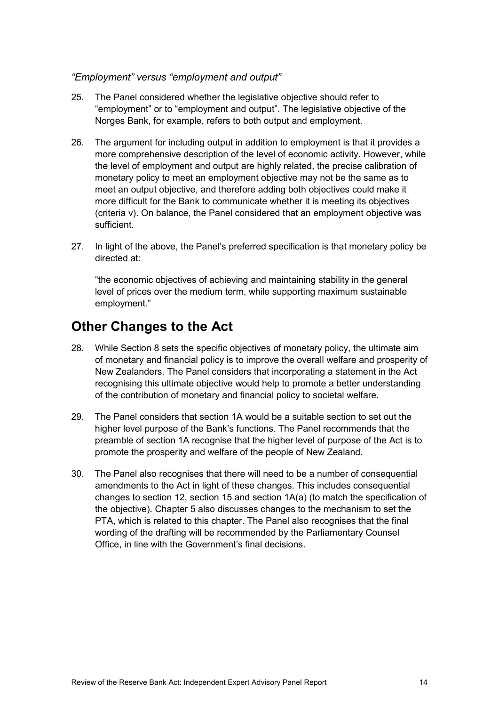#### *"Employment" versus "employment and output"*

- 25. The Panel considered whether the legislative objective should refer to "employment" or to "employment and output". The legislative objective of the Norges Bank, for example, refers to both output and employment.
- 26. The argument for including output in addition to employment is that it provides a more comprehensive description of the level of economic activity. However, while the level of employment and output are highly related, the precise calibration of monetary policy to meet an employment objective may not be the same as to meet an output objective, and therefore adding both objectives could make it more difficult for the Bank to communicate whether it is meeting its objectives (criteria v). On balance, the Panel considered that an employment objective was sufficient.
- 27. In light of the above, the Panel's preferred specification is that monetary policy be directed at:

"the economic objectives of achieving and maintaining stability in the general level of prices over the medium term, while supporting maximum sustainable employment."

### <span id="page-15-0"></span>**Other Changes to the Act**

- 28. While Section 8 sets the specific objectives of monetary policy, the ultimate aim of monetary and financial policy is to improve the overall welfare and prosperity of New Zealanders. The Panel considers that incorporating a statement in the Act recognising this ultimate objective would help to promote a better understanding of the contribution of monetary and financial policy to societal welfare.
- 29. The Panel considers that section 1A would be a suitable section to set out the higher level purpose of the Bank's functions. The Panel recommends that the preamble of section 1A recognise that the higher level of purpose of the Act is to promote the prosperity and welfare of the people of New Zealand.
- 30. The Panel also recognises that there will need to be a number of consequential amendments to the Act in light of these changes. This includes consequential changes to section 12, section 15 and section 1A(a) (to match the specification of the objective). Chapter 5 also discusses changes to the mechanism to set the PTA, which is related to this chapter. The Panel also recognises that the final wording of the drafting will be recommended by the Parliamentary Counsel Office, in line with the Government's final decisions.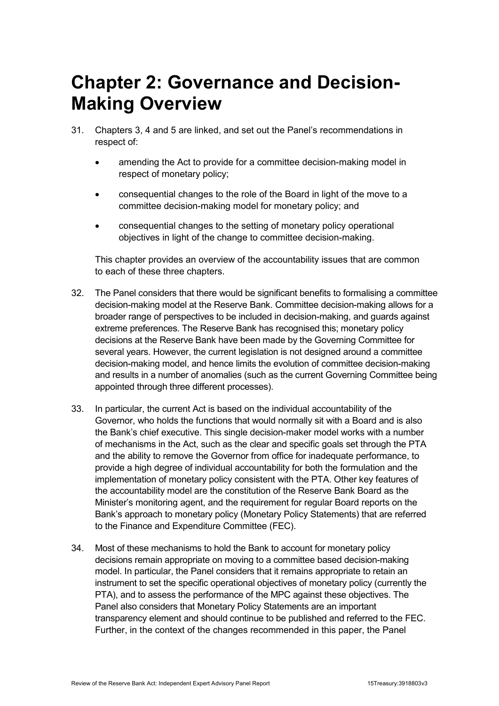## <span id="page-16-0"></span>**Chapter 2: Governance and Decision-Making Overview**

- 31. Chapters 3, 4 and 5 are linked, and set out the Panel's recommendations in respect of:
	- amending the Act to provide for a committee decision-making model in respect of monetary policy;
	- consequential changes to the role of the Board in light of the move to a committee decision-making model for monetary policy; and
	- consequential changes to the setting of monetary policy operational objectives in light of the change to committee decision-making.

This chapter provides an overview of the accountability issues that are common to each of these three chapters.

- 32. The Panel considers that there would be significant benefits to formalising a committee decision-making model at the Reserve Bank. Committee decision-making allows for a broader range of perspectives to be included in decision-making, and guards against extreme preferences. The Reserve Bank has recognised this; monetary policy decisions at the Reserve Bank have been made by the Governing Committee for several years. However, the current legislation is not designed around a committee decision-making model, and hence limits the evolution of committee decision-making and results in a number of anomalies (such as the current Governing Committee being appointed through three different processes).
- 33. In particular, the current Act is based on the individual accountability of the Governor, who holds the functions that would normally sit with a Board and is also the Bank's chief executive. This single decision-maker model works with a number of mechanisms in the Act, such as the clear and specific goals set through the PTA and the ability to remove the Governor from office for inadequate performance, to provide a high degree of individual accountability for both the formulation and the implementation of monetary policy consistent with the PTA. Other key features of the accountability model are the constitution of the Reserve Bank Board as the Minister's monitoring agent, and the requirement for regular Board reports on the Bank's approach to monetary policy (Monetary Policy Statements) that are referred to the Finance and Expenditure Committee (FEC).
- 34. Most of these mechanisms to hold the Bank to account for monetary policy decisions remain appropriate on moving to a committee based decision-making model. In particular, the Panel considers that it remains appropriate to retain an instrument to set the specific operational objectives of monetary policy (currently the PTA), and to assess the performance of the MPC against these objectives. The Panel also considers that Monetary Policy Statements are an important transparency element and should continue to be published and referred to the FEC. Further, in the context of the changes recommended in this paper, the Panel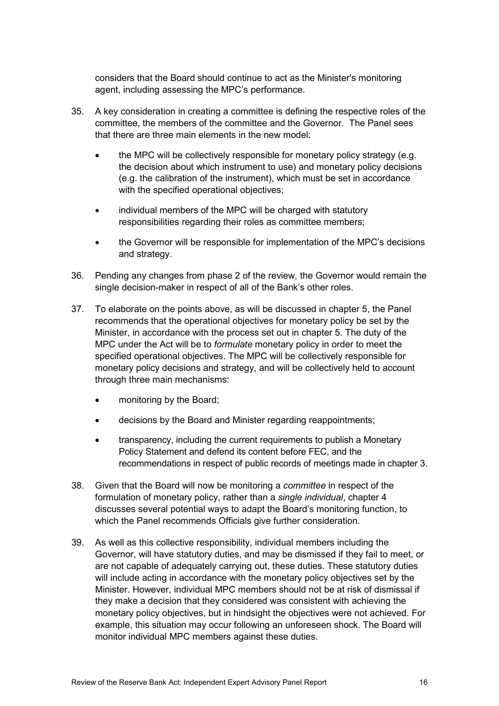considers that the Board should continue to act as the Minister's monitoring agent, including assessing the MPC's performance.

- 35. A key consideration in creating a committee is defining the respective roles of the committee, the members of the committee and the Governor. The Panel sees that there are three main elements in the new model:
	- the MPC will be collectively responsible for monetary policy strategy (e.g. the decision about which instrument to use) and monetary policy decisions (e.g. the calibration of the instrument), which must be set in accordance with the specified operational objectives:
	- individual members of the MPC will be charged with statutory responsibilities regarding their roles as committee members;
	- the Governor will be responsible for implementation of the MPC's decisions and strategy.
- 36. Pending any changes from phase 2 of the review, the Governor would remain the single decision-maker in respect of all of the Bank's other roles.
- 37. To elaborate on the points above, as will be discussed in chapter 5, the Panel recommends that the operational objectives for monetary policy be set by the Minister, in accordance with the process set out in chapter 5. The duty of the MPC under the Act will be to *formulate* monetary policy in order to meet the specified operational objectives. The MPC will be collectively responsible for monetary policy decisions and strategy, and will be collectively held to account through three main mechanisms:
	- monitoring by the Board:
	- decisions by the Board and Minister regarding reappointments;
	- transparency, including the current requirements to publish a Monetary Policy Statement and defend its content before FEC, and the recommendations in respect of public records of meetings made in chapter 3.
- 38. Given that the Board will now be monitoring a *committee* in respect of the formulation of monetary policy, rather than a *single individual*, chapter 4 discusses several potential ways to adapt the Board's monitoring function, to which the Panel recommends Officials give further consideration.
- 39. As well as this collective responsibility, individual members including the Governor, will have statutory duties, and may be dismissed if they fail to meet, or are not capable of adequately carrying out, these duties. These statutory duties will include acting in accordance with the monetary policy objectives set by the Minister. However, individual MPC members should not be at risk of dismissal if they make a decision that they considered was consistent with achieving the monetary policy objectives, but in hindsight the objectives were not achieved. For example, this situation may occur following an unforeseen shock. The Board will monitor individual MPC members against these duties.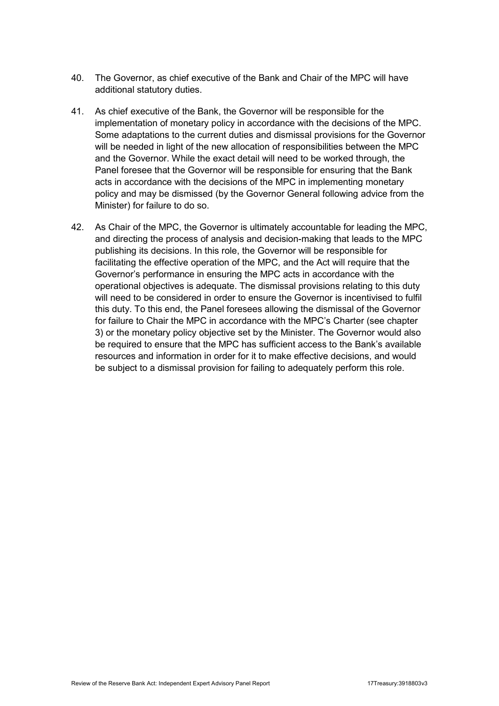- 40. The Governor, as chief executive of the Bank and Chair of the MPC will have additional statutory duties.
- 41. As chief executive of the Bank, the Governor will be responsible for the implementation of monetary policy in accordance with the decisions of the MPC. Some adaptations to the current duties and dismissal provisions for the Governor will be needed in light of the new allocation of responsibilities between the MPC and the Governor. While the exact detail will need to be worked through, the Panel foresee that the Governor will be responsible for ensuring that the Bank acts in accordance with the decisions of the MPC in implementing monetary policy and may be dismissed (by the Governor General following advice from the Minister) for failure to do so.
- 42. As Chair of the MPC, the Governor is ultimately accountable for leading the MPC, and directing the process of analysis and decision-making that leads to the MPC publishing its decisions. In this role, the Governor will be responsible for facilitating the effective operation of the MPC, and the Act will require that the Governor's performance in ensuring the MPC acts in accordance with the operational objectives is adequate. The dismissal provisions relating to this duty will need to be considered in order to ensure the Governor is incentivised to fulfil this duty. To this end, the Panel foresees allowing the dismissal of the Governor for failure to Chair the MPC in accordance with the MPC's Charter (see chapter 3) or the monetary policy objective set by the Minister. The Governor would also be required to ensure that the MPC has sufficient access to the Bank's available resources and information in order for it to make effective decisions, and would be subject to a dismissal provision for failing to adequately perform this role.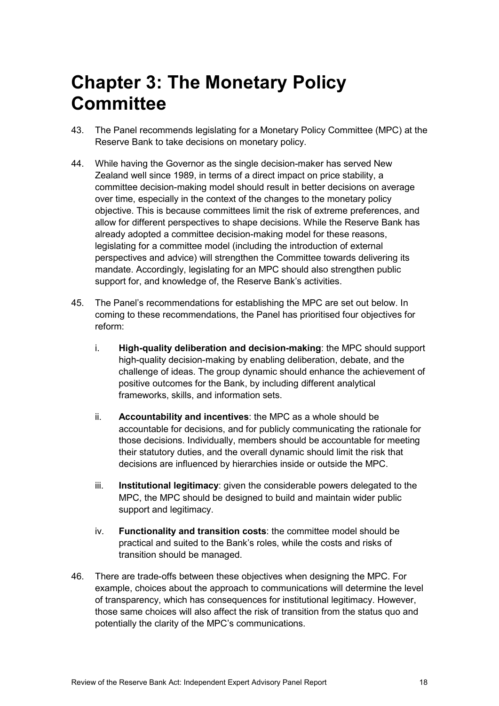## <span id="page-19-0"></span>**Chapter 3: The Monetary Policy Committee**

- 43. The Panel recommends legislating for a Monetary Policy Committee (MPC) at the Reserve Bank to take decisions on monetary policy.
- 44. While having the Governor as the single decision-maker has served New Zealand well since 1989, in terms of a direct impact on price stability, a committee decision-making model should result in better decisions on average over time, especially in the context of the changes to the monetary policy objective. This is because committees limit the risk of extreme preferences, and allow for different perspectives to shape decisions. While the Reserve Bank has already adopted a committee decision-making model for these reasons, legislating for a committee model (including the introduction of external perspectives and advice) will strengthen the Committee towards delivering its mandate. Accordingly, legislating for an MPC should also strengthen public support for, and knowledge of, the Reserve Bank's activities.
- 45. The Panel's recommendations for establishing the MPC are set out below. In coming to these recommendations, the Panel has prioritised four objectives for reform:
	- i. **High-quality deliberation and decision-making**: the MPC should support high-quality decision-making by enabling deliberation, debate, and the challenge of ideas. The group dynamic should enhance the achievement of positive outcomes for the Bank, by including different analytical frameworks, skills, and information sets.
	- ii. **Accountability and incentives**: the MPC as a whole should be accountable for decisions, and for publicly communicating the rationale for those decisions. Individually, members should be accountable for meeting their statutory duties, and the overall dynamic should limit the risk that decisions are influenced by hierarchies inside or outside the MPC.
	- iii. **Institutional legitimacy**: given the considerable powers delegated to the MPC, the MPC should be designed to build and maintain wider public support and legitimacy.
	- iv. **Functionality and transition costs**: the committee model should be practical and suited to the Bank's roles, while the costs and risks of transition should be managed.
- 46. There are trade-offs between these objectives when designing the MPC. For example, choices about the approach to communications will determine the level of transparency, which has consequences for institutional legitimacy. However, those same choices will also affect the risk of transition from the status quo and potentially the clarity of the MPC's communications.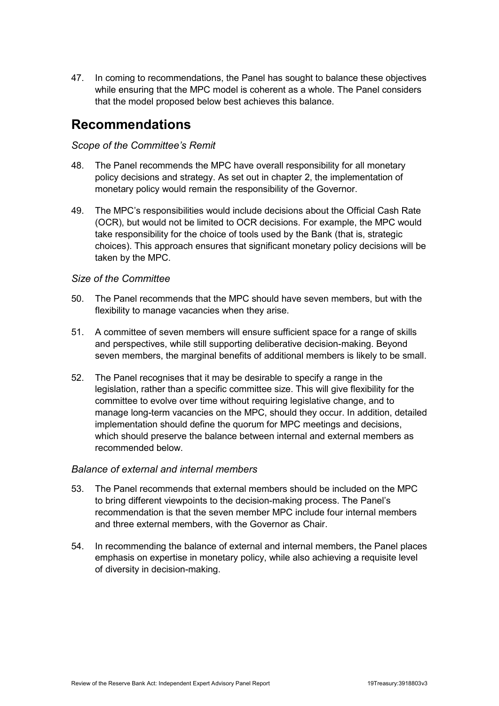47. In coming to recommendations, the Panel has sought to balance these objectives while ensuring that the MPC model is coherent as a whole. The Panel considers that the model proposed below best achieves this balance.

### <span id="page-20-0"></span>**Recommendations**

### *Scope of the Committee's Remit*

- 48. The Panel recommends the MPC have overall responsibility for all monetary policy decisions and strategy. As set out in chapter 2, the implementation of monetary policy would remain the responsibility of the Governor.
- 49. The MPC's responsibilities would include decisions about the Official Cash Rate (OCR), but would not be limited to OCR decisions. For example, the MPC would take responsibility for the choice of tools used by the Bank (that is, strategic choices). This approach ensures that significant monetary policy decisions will be taken by the MPC.

#### *Size of the Committee*

- 50. The Panel recommends that the MPC should have seven members, but with the flexibility to manage vacancies when they arise.
- 51. A committee of seven members will ensure sufficient space for a range of skills and perspectives, while still supporting deliberative decision-making. Beyond seven members, the marginal benefits of additional members is likely to be small.
- 52. The Panel recognises that it may be desirable to specify a range in the legislation, rather than a specific committee size. This will give flexibility for the committee to evolve over time without requiring legislative change, and to manage long-term vacancies on the MPC, should they occur. In addition, detailed implementation should define the quorum for MPC meetings and decisions, which should preserve the balance between internal and external members as recommended below.

#### *Balance of external and internal members*

- 53. The Panel recommends that external members should be included on the MPC to bring different viewpoints to the decision-making process. The Panel's recommendation is that the seven member MPC include four internal members and three external members, with the Governor as Chair.
- 54. In recommending the balance of external and internal members, the Panel places emphasis on expertise in monetary policy, while also achieving a requisite level of diversity in decision-making.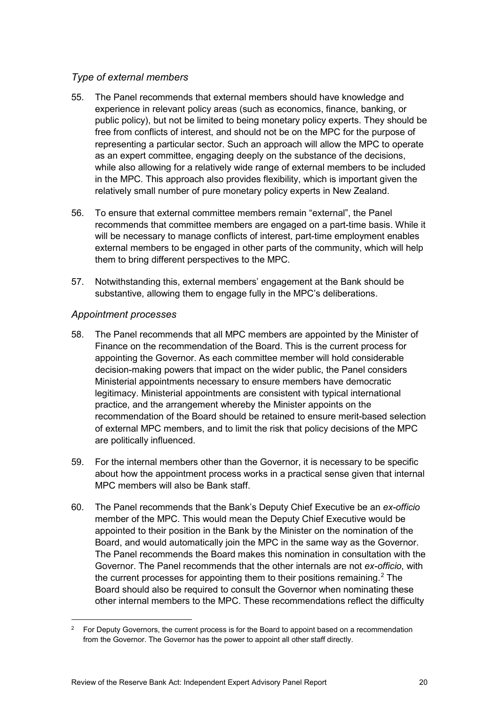### *Type of external members*

- 55. The Panel recommends that external members should have knowledge and experience in relevant policy areas (such as economics, finance, banking, or public policy), but not be limited to being monetary policy experts. They should be free from conflicts of interest, and should not be on the MPC for the purpose of representing a particular sector. Such an approach will allow the MPC to operate as an expert committee, engaging deeply on the substance of the decisions, while also allowing for a relatively wide range of external members to be included in the MPC. This approach also provides flexibility, which is important given the relatively small number of pure monetary policy experts in New Zealand.
- 56. To ensure that external committee members remain "external", the Panel recommends that committee members are engaged on a part-time basis. While it will be necessary to manage conflicts of interest, part-time employment enables external members to be engaged in other parts of the community, which will help them to bring different perspectives to the MPC.
- 57. Notwithstanding this, external members' engagement at the Bank should be substantive, allowing them to engage fully in the MPC's deliberations.

#### *Appointment processes*

- 58. The Panel recommends that all MPC members are appointed by the Minister of Finance on the recommendation of the Board. This is the current process for appointing the Governor. As each committee member will hold considerable decision-making powers that impact on the wider public, the Panel considers Ministerial appointments necessary to ensure members have democratic legitimacy. Ministerial appointments are consistent with typical international practice, and the arrangement whereby the Minister appoints on the recommendation of the Board should be retained to ensure merit-based selection of external MPC members, and to limit the risk that policy decisions of the MPC are politically influenced.
- 59. For the internal members other than the Governor, it is necessary to be specific about how the appointment process works in a practical sense given that internal MPC members will also be Bank staff.
- 60. The Panel recommends that the Bank's Deputy Chief Executive be an *ex-officio*  member of the MPC. This would mean the Deputy Chief Executive would be appointed to their position in the Bank by the Minister on the nomination of the Board, and would automatically join the MPC in the same way as the Governor. The Panel recommends the Board makes this nomination in consultation with the Governor. The Panel recommends that the other internals are not *ex-officio*, with the current processes for appointing them to their positions remaining.<sup>[2](#page-21-0)</sup> The Board should also be required to consult the Governor when nominating these other internal members to the MPC. These recommendations reflect the difficulty

<span id="page-21-0"></span><sup>&</sup>lt;sup>2</sup> For Deputy Governors, the current process is for the Board to appoint based on a recommendation from the Governor. The Governor has the power to appoint all other staff directly.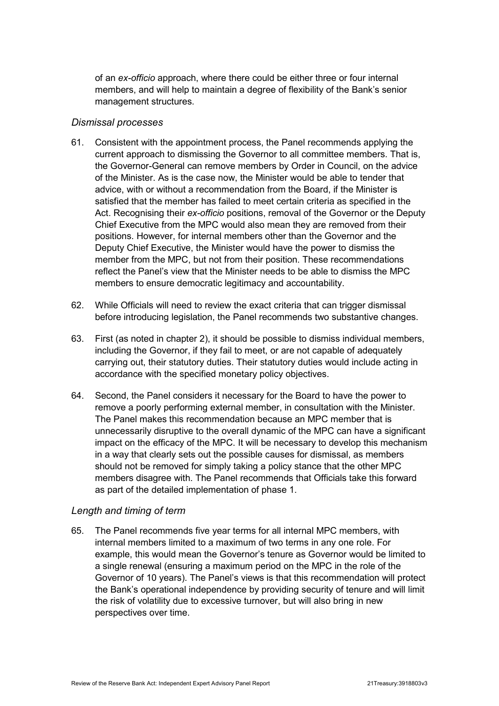of an *ex-officio* approach, where there could be either three or four internal members, and will help to maintain a degree of flexibility of the Bank's senior management structures.

#### *Dismissal processes*

- 61. Consistent with the appointment process, the Panel recommends applying the current approach to dismissing the Governor to all committee members. That is, the Governor-General can remove members by Order in Council, on the advice of the Minister. As is the case now, the Minister would be able to tender that advice, with or without a recommendation from the Board, if the Minister is satisfied that the member has failed to meet certain criteria as specified in the Act. Recognising their *ex-officio* positions, removal of the Governor or the Deputy Chief Executive from the MPC would also mean they are removed from their positions. However, for internal members other than the Governor and the Deputy Chief Executive, the Minister would have the power to dismiss the member from the MPC, but not from their position. These recommendations reflect the Panel's view that the Minister needs to be able to dismiss the MPC members to ensure democratic legitimacy and accountability.
- 62. While Officials will need to review the exact criteria that can trigger dismissal before introducing legislation, the Panel recommends two substantive changes.
- 63. First (as noted in chapter 2), it should be possible to dismiss individual members, including the Governor, if they fail to meet, or are not capable of adequately carrying out, their statutory duties. Their statutory duties would include acting in accordance with the specified monetary policy objectives.
- 64. Second, the Panel considers it necessary for the Board to have the power to remove a poorly performing external member, in consultation with the Minister. The Panel makes this recommendation because an MPC member that is unnecessarily disruptive to the overall dynamic of the MPC can have a significant impact on the efficacy of the MPC. It will be necessary to develop this mechanism in a way that clearly sets out the possible causes for dismissal, as members should not be removed for simply taking a policy stance that the other MPC members disagree with. The Panel recommends that Officials take this forward as part of the detailed implementation of phase 1.

### *Length and timing of term*

65. The Panel recommends five year terms for all internal MPC members, with internal members limited to a maximum of two terms in any one role. For example, this would mean the Governor's tenure as Governor would be limited to a single renewal (ensuring a maximum period on the MPC in the role of the Governor of 10 years). The Panel's views is that this recommendation will protect the Bank's operational independence by providing security of tenure and will limit the risk of volatility due to excessive turnover, but will also bring in new perspectives over time.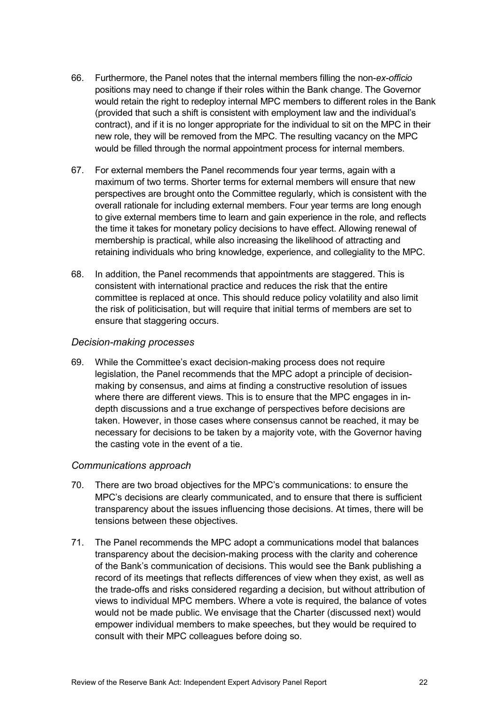- 66. Furthermore, the Panel notes that the internal members filling the non-*ex-officio*  positions may need to change if their roles within the Bank change. The Governor would retain the right to redeploy internal MPC members to different roles in the Bank (provided that such a shift is consistent with employment law and the individual's contract), and if it is no longer appropriate for the individual to sit on the MPC in their new role, they will be removed from the MPC. The resulting vacancy on the MPC would be filled through the normal appointment process for internal members.
- 67. For external members the Panel recommends four year terms, again with a maximum of two terms. Shorter terms for external members will ensure that new perspectives are brought onto the Committee regularly, which is consistent with the overall rationale for including external members. Four year terms are long enough to give external members time to learn and gain experience in the role, and reflects the time it takes for monetary policy decisions to have effect. Allowing renewal of membership is practical, while also increasing the likelihood of attracting and retaining individuals who bring knowledge, experience, and collegiality to the MPC.
- 68. In addition, the Panel recommends that appointments are staggered. This is consistent with international practice and reduces the risk that the entire committee is replaced at once. This should reduce policy volatility and also limit the risk of politicisation, but will require that initial terms of members are set to ensure that staggering occurs.

#### *Decision-making processes*

69. While the Committee's exact decision-making process does not require legislation, the Panel recommends that the MPC adopt a principle of decisionmaking by consensus, and aims at finding a constructive resolution of issues where there are different views. This is to ensure that the MPC engages in indepth discussions and a true exchange of perspectives before decisions are taken. However, in those cases where consensus cannot be reached, it may be necessary for decisions to be taken by a majority vote, with the Governor having the casting vote in the event of a tie.

#### *Communications approach*

- 70. There are two broad objectives for the MPC's communications: to ensure the MPC's decisions are clearly communicated, and to ensure that there is sufficient transparency about the issues influencing those decisions. At times, there will be tensions between these objectives.
- 71. The Panel recommends the MPC adopt a communications model that balances transparency about the decision-making process with the clarity and coherence of the Bank's communication of decisions. This would see the Bank publishing a record of its meetings that reflects differences of view when they exist, as well as the trade-offs and risks considered regarding a decision, but without attribution of views to individual MPC members. Where a vote is required, the balance of votes would not be made public. We envisage that the Charter (discussed next) would empower individual members to make speeches, but they would be required to consult with their MPC colleagues before doing so.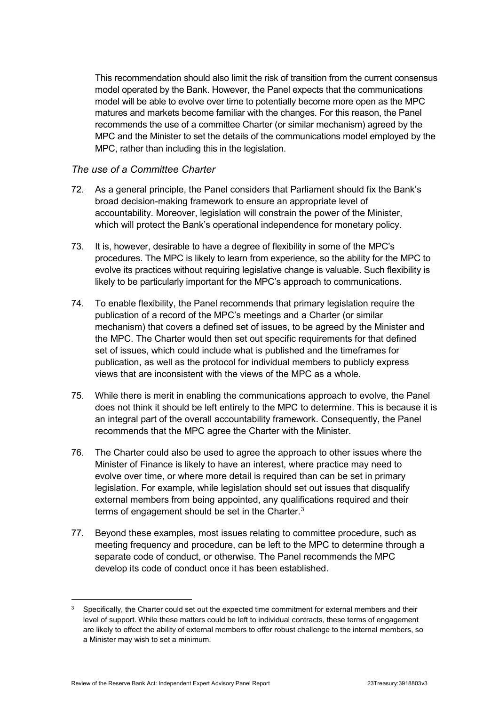This recommendation should also limit the risk of transition from the current consensus model operated by the Bank. However, the Panel expects that the communications model will be able to evolve over time to potentially become more open as the MPC matures and markets become familiar with the changes. For this reason, the Panel recommends the use of a committee Charter (or similar mechanism) agreed by the MPC and the Minister to set the details of the communications model employed by the MPC, rather than including this in the legislation.

#### *The use of a Committee Charter*

- 72. As a general principle, the Panel considers that Parliament should fix the Bank's broad decision-making framework to ensure an appropriate level of accountability. Moreover, legislation will constrain the power of the Minister, which will protect the Bank's operational independence for monetary policy.
- 73. It is, however, desirable to have a degree of flexibility in some of the MPC's procedures. The MPC is likely to learn from experience, so the ability for the MPC to evolve its practices without requiring legislative change is valuable. Such flexibility is likely to be particularly important for the MPC's approach to communications.
- 74. To enable flexibility, the Panel recommends that primary legislation require the publication of a record of the MPC's meetings and a Charter (or similar mechanism) that covers a defined set of issues, to be agreed by the Minister and the MPC. The Charter would then set out specific requirements for that defined set of issues, which could include what is published and the timeframes for publication, as well as the protocol for individual members to publicly express views that are inconsistent with the views of the MPC as a whole.
- 75. While there is merit in enabling the communications approach to evolve, the Panel does not think it should be left entirely to the MPC to determine. This is because it is an integral part of the overall accountability framework. Consequently, the Panel recommends that the MPC agree the Charter with the Minister.
- 76. The Charter could also be used to agree the approach to other issues where the Minister of Finance is likely to have an interest, where practice may need to evolve over time, or where more detail is required than can be set in primary legislation. For example, while legislation should set out issues that disqualify external members from being appointed, any qualifications required and their terms of engagement should be set in the Charter.<sup>[3](#page-24-0)</sup>
- 77. Beyond these examples, most issues relating to committee procedure, such as meeting frequency and procedure, can be left to the MPC to determine through a separate code of conduct, or otherwise. The Panel recommends the MPC develop its code of conduct once it has been established.

<span id="page-24-0"></span>Specifically, the Charter could set out the expected time commitment for external members and their level of support. While these matters could be left to individual contracts, these terms of engagement are likely to effect the ability of external members to offer robust challenge to the internal members, so a Minister may wish to set a minimum.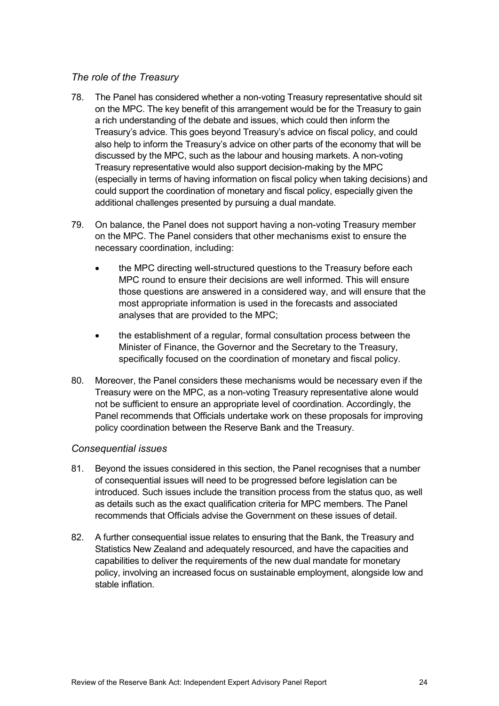### *The role of the Treasury*

- 78. The Panel has considered whether a non-voting Treasury representative should sit on the MPC. The key benefit of this arrangement would be for the Treasury to gain a rich understanding of the debate and issues, which could then inform the Treasury's advice. This goes beyond Treasury's advice on fiscal policy, and could also help to inform the Treasury's advice on other parts of the economy that will be discussed by the MPC, such as the labour and housing markets. A non-voting Treasury representative would also support decision-making by the MPC (especially in terms of having information on fiscal policy when taking decisions) and could support the coordination of monetary and fiscal policy, especially given the additional challenges presented by pursuing a dual mandate.
- 79. On balance, the Panel does not support having a non-voting Treasury member on the MPC. The Panel considers that other mechanisms exist to ensure the necessary coordination, including:
	- the MPC directing well-structured questions to the Treasury before each MPC round to ensure their decisions are well informed. This will ensure those questions are answered in a considered way, and will ensure that the most appropriate information is used in the forecasts and associated analyses that are provided to the MPC;
	- the establishment of a regular, formal consultation process between the Minister of Finance, the Governor and the Secretary to the Treasury, specifically focused on the coordination of monetary and fiscal policy.
- 80. Moreover, the Panel considers these mechanisms would be necessary even if the Treasury were on the MPC, as a non-voting Treasury representative alone would not be sufficient to ensure an appropriate level of coordination. Accordingly, the Panel recommends that Officials undertake work on these proposals for improving policy coordination between the Reserve Bank and the Treasury.

#### *Consequential issues*

- 81. Beyond the issues considered in this section, the Panel recognises that a number of consequential issues will need to be progressed before legislation can be introduced. Such issues include the transition process from the status quo, as well as details such as the exact qualification criteria for MPC members. The Panel recommends that Officials advise the Government on these issues of detail.
- 82. A further consequential issue relates to ensuring that the Bank, the Treasury and Statistics New Zealand and adequately resourced, and have the capacities and capabilities to deliver the requirements of the new dual mandate for monetary policy, involving an increased focus on sustainable employment, alongside low and stable inflation.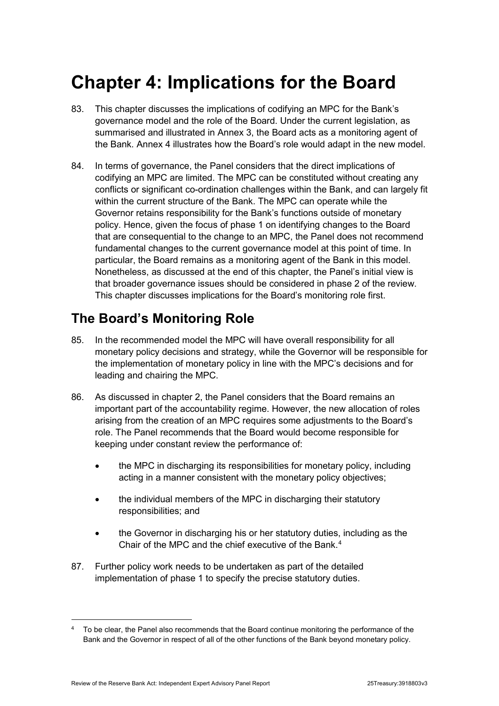## <span id="page-26-0"></span>**Chapter 4: Implications for the Board**

- 83. This chapter discusses the implications of codifying an MPC for the Bank's governance model and the role of the Board. Under the current legislation, as summarised and illustrated in Annex 3, the Board acts as a monitoring agent of the Bank. Annex 4 illustrates how the Board's role would adapt in the new model.
- 84. In terms of governance, the Panel considers that the direct implications of codifying an MPC are limited. The MPC can be constituted without creating any conflicts or significant co-ordination challenges within the Bank, and can largely fit within the current structure of the Bank. The MPC can operate while the Governor retains responsibility for the Bank's functions outside of monetary policy. Hence, given the focus of phase 1 on identifying changes to the Board that are consequential to the change to an MPC, the Panel does not recommend fundamental changes to the current governance model at this point of time. In particular, the Board remains as a monitoring agent of the Bank in this model. Nonetheless, as discussed at the end of this chapter, the Panel's initial view is that broader governance issues should be considered in phase 2 of the review. This chapter discusses implications for the Board's monitoring role first.

## <span id="page-26-1"></span>**The Board's Monitoring Role**

- 85. In the recommended model the MPC will have overall responsibility for all monetary policy decisions and strategy, while the Governor will be responsible for the implementation of monetary policy in line with the MPC's decisions and for leading and chairing the MPC.
- 86. As discussed in chapter 2, the Panel considers that the Board remains an important part of the accountability regime. However, the new allocation of roles arising from the creation of an MPC requires some adjustments to the Board's role. The Panel recommends that the Board would become responsible for keeping under constant review the performance of:
	- the MPC in discharging its responsibilities for monetary policy, including acting in a manner consistent with the monetary policy objectives;
	- the individual members of the MPC in discharging their statutory responsibilities; and
	- the Governor in discharging his or her statutory duties, including as the Chair of the MPC and the chief executive of the Bank.<sup>[4](#page-26-2)</sup>
- 87. Further policy work needs to be undertaken as part of the detailed implementation of phase 1 to specify the precise statutory duties.

<span id="page-26-2"></span>To be clear, the Panel also recommends that the Board continue monitoring the performance of the Bank and the Governor in respect of all of the other functions of the Bank beyond monetary policy.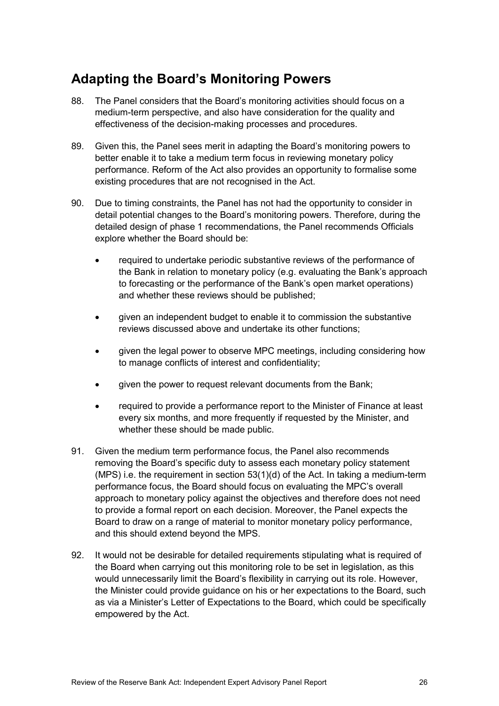## <span id="page-27-0"></span>**Adapting the Board's Monitoring Powers**

- 88. The Panel considers that the Board's monitoring activities should focus on a medium-term perspective, and also have consideration for the quality and effectiveness of the decision-making processes and procedures.
- 89. Given this, the Panel sees merit in adapting the Board's monitoring powers to better enable it to take a medium term focus in reviewing monetary policy performance. Reform of the Act also provides an opportunity to formalise some existing procedures that are not recognised in the Act.
- 90. Due to timing constraints, the Panel has not had the opportunity to consider in detail potential changes to the Board's monitoring powers. Therefore, during the detailed design of phase 1 recommendations, the Panel recommends Officials explore whether the Board should be:
	- required to undertake periodic substantive reviews of the performance of the Bank in relation to monetary policy (e.g. evaluating the Bank's approach to forecasting or the performance of the Bank's open market operations) and whether these reviews should be published;
	- given an independent budget to enable it to commission the substantive reviews discussed above and undertake its other functions;
	- given the legal power to observe MPC meetings, including considering how to manage conflicts of interest and confidentiality;
	- qiven the power to request relevant documents from the Bank:
	- required to provide a performance report to the Minister of Finance at least every six months, and more frequently if requested by the Minister, and whether these should be made public.
- 91. Given the medium term performance focus, the Panel also recommends removing the Board's specific duty to assess each monetary policy statement (MPS) i.e. the requirement in section 53(1)(d) of the Act. In taking a medium-term performance focus, the Board should focus on evaluating the MPC's overall approach to monetary policy against the objectives and therefore does not need to provide a formal report on each decision. Moreover, the Panel expects the Board to draw on a range of material to monitor monetary policy performance, and this should extend beyond the MPS.
- 92. It would not be desirable for detailed requirements stipulating what is required of the Board when carrying out this monitoring role to be set in legislation, as this would unnecessarily limit the Board's flexibility in carrying out its role. However, the Minister could provide guidance on his or her expectations to the Board, such as via a Minister's Letter of Expectations to the Board, which could be specifically empowered by the Act.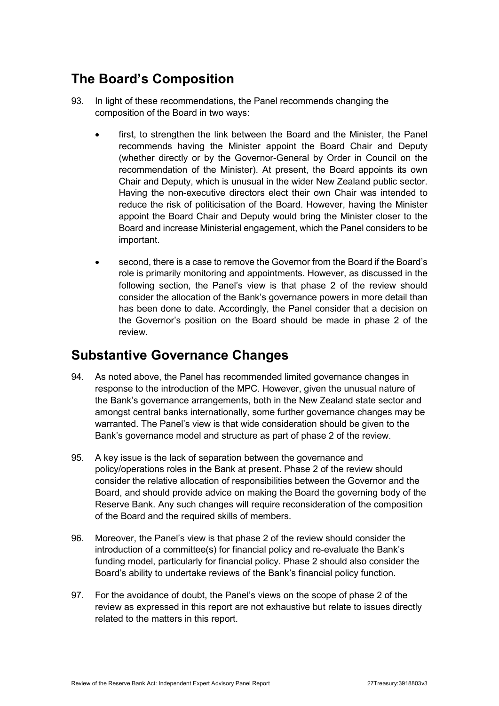## <span id="page-28-0"></span>**The Board's Composition**

- 93. In light of these recommendations, the Panel recommends changing the composition of the Board in two ways:
	- first, to strengthen the link between the Board and the Minister, the Panel recommends having the Minister appoint the Board Chair and Deputy (whether directly or by the Governor-General by Order in Council on the recommendation of the Minister). At present, the Board appoints its own Chair and Deputy, which is unusual in the wider New Zealand public sector. Having the non-executive directors elect their own Chair was intended to reduce the risk of politicisation of the Board. However, having the Minister appoint the Board Chair and Deputy would bring the Minister closer to the Board and increase Ministerial engagement, which the Panel considers to be important.
	- second, there is a case to remove the Governor from the Board if the Board's role is primarily monitoring and appointments. However, as discussed in the following section, the Panel's view is that phase 2 of the review should consider the allocation of the Bank's governance powers in more detail than has been done to date. Accordingly, the Panel consider that a decision on the Governor's position on the Board should be made in phase 2 of the review.

### <span id="page-28-1"></span>**Substantive Governance Changes**

- 94. As noted above, the Panel has recommended limited governance changes in response to the introduction of the MPC. However, given the unusual nature of the Bank's governance arrangements, both in the New Zealand state sector and amongst central banks internationally, some further governance changes may be warranted. The Panel's view is that wide consideration should be given to the Bank's governance model and structure as part of phase 2 of the review.
- 95. A key issue is the lack of separation between the governance and policy/operations roles in the Bank at present. Phase 2 of the review should consider the relative allocation of responsibilities between the Governor and the Board, and should provide advice on making the Board the governing body of the Reserve Bank. Any such changes will require reconsideration of the composition of the Board and the required skills of members.
- 96. Moreover, the Panel's view is that phase 2 of the review should consider the introduction of a committee(s) for financial policy and re-evaluate the Bank's funding model, particularly for financial policy. Phase 2 should also consider the Board's ability to undertake reviews of the Bank's financial policy function.
- 97. For the avoidance of doubt, the Panel's views on the scope of phase 2 of the review as expressed in this report are not exhaustive but relate to issues directly related to the matters in this report.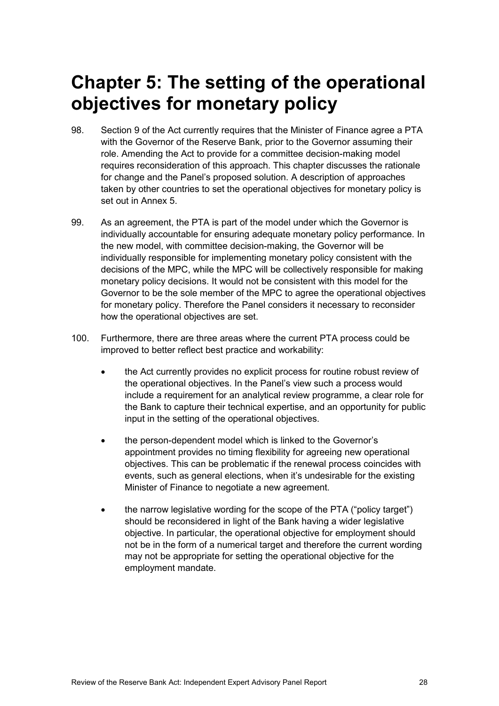## <span id="page-29-0"></span>**Chapter 5: The setting of the operational objectives for monetary policy**

- 98. Section 9 of the Act currently requires that the Minister of Finance agree a PTA with the Governor of the Reserve Bank, prior to the Governor assuming their role. Amending the Act to provide for a committee decision-making model requires reconsideration of this approach. This chapter discusses the rationale for change and the Panel's proposed solution. A description of approaches taken by other countries to set the operational objectives for monetary policy is set out in Annex 5.
- 99. As an agreement, the PTA is part of the model under which the Governor is individually accountable for ensuring adequate monetary policy performance. In the new model, with committee decision-making, the Governor will be individually responsible for implementing monetary policy consistent with the decisions of the MPC, while the MPC will be collectively responsible for making monetary policy decisions. It would not be consistent with this model for the Governor to be the sole member of the MPC to agree the operational objectives for monetary policy. Therefore the Panel considers it necessary to reconsider how the operational objectives are set.
- 100. Furthermore, there are three areas where the current PTA process could be improved to better reflect best practice and workability:
	- the Act currently provides no explicit process for routine robust review of the operational objectives. In the Panel's view such a process would include a requirement for an analytical review programme, a clear role for the Bank to capture their technical expertise, and an opportunity for public input in the setting of the operational objectives.
	- the person-dependent model which is linked to the Governor's appointment provides no timing flexibility for agreeing new operational objectives. This can be problematic if the renewal process coincides with events, such as general elections, when it's undesirable for the existing Minister of Finance to negotiate a new agreement.
	- the narrow legislative wording for the scope of the PTA ("policy target") should be reconsidered in light of the Bank having a wider legislative objective. In particular, the operational objective for employment should not be in the form of a numerical target and therefore the current wording may not be appropriate for setting the operational objective for the employment mandate.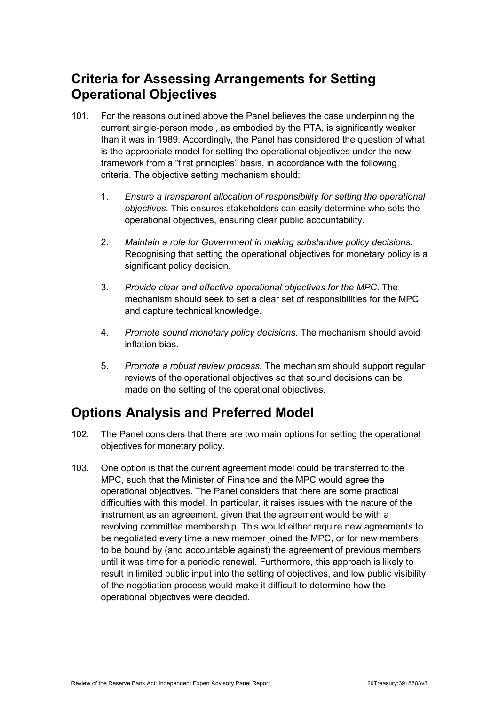## <span id="page-30-0"></span>**Criteria for Assessing Arrangements for Setting Operational Objectives**

- 101. For the reasons outlined above the Panel believes the case underpinning the current single-person model, as embodied by the PTA, is significantly weaker than it was in 1989. Accordingly, the Panel has considered the question of what is the appropriate model for setting the operational objectives under the new framework from a "first principles" basis, in accordance with the following criteria. The objective setting mechanism should:
	- 1. *Ensure a transparent allocation of responsibility for setting the operational objectives*. This ensures stakeholders can easily determine who sets the operational objectives, ensuring clear public accountability.
	- 2. *Maintain a role for Government in making substantive policy decisions.* Recognising that setting the operational objectives for monetary policy is a significant policy decision.
	- 3. *Provide clear and effective operational objectives for the MPC*. The mechanism should seek to set a clear set of responsibilities for the MPC and capture technical knowledge.
	- 4. *Promote sound monetary policy decisions.* The mechanism should avoid inflation bias.
	- 5. *Promote a robust review process.* The mechanism should support regular reviews of the operational objectives so that sound decisions can be made on the setting of the operational objectives.

## <span id="page-30-1"></span>**Options Analysis and Preferred Model**

- 102. The Panel considers that there are two main options for setting the operational objectives for monetary policy.
- 103. One option is that the current agreement model could be transferred to the MPC, such that the Minister of Finance and the MPC would agree the operational objectives. The Panel considers that there are some practical difficulties with this model. In particular, it raises issues with the nature of the instrument as an agreement, given that the agreement would be with a revolving committee membership. This would either require new agreements to be negotiated every time a new member joined the MPC, or for new members to be bound by (and accountable against) the agreement of previous members until it was time for a periodic renewal. Furthermore, this approach is likely to result in limited public input into the setting of objectives, and low public visibility of the negotiation process would make it difficult to determine how the operational objectives were decided.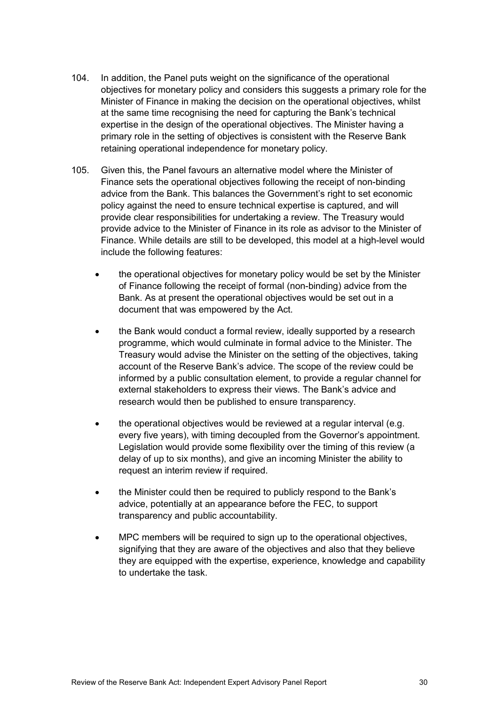- 104. In addition, the Panel puts weight on the significance of the operational objectives for monetary policy and considers this suggests a primary role for the Minister of Finance in making the decision on the operational objectives, whilst at the same time recognising the need for capturing the Bank's technical expertise in the design of the operational objectives. The Minister having a primary role in the setting of objectives is consistent with the Reserve Bank retaining operational independence for monetary policy.
- 105. Given this, the Panel favours an alternative model where the Minister of Finance sets the operational objectives following the receipt of non-binding advice from the Bank. This balances the Government's right to set economic policy against the need to ensure technical expertise is captured, and will provide clear responsibilities for undertaking a review. The Treasury would provide advice to the Minister of Finance in its role as advisor to the Minister of Finance. While details are still to be developed, this model at a high-level would include the following features:
	- the operational objectives for monetary policy would be set by the Minister of Finance following the receipt of formal (non-binding) advice from the Bank. As at present the operational objectives would be set out in a document that was empowered by the Act.
	- the Bank would conduct a formal review, ideally supported by a research programme, which would culminate in formal advice to the Minister. The Treasury would advise the Minister on the setting of the objectives, taking account of the Reserve Bank's advice. The scope of the review could be informed by a public consultation element, to provide a regular channel for external stakeholders to express their views. The Bank's advice and research would then be published to ensure transparency.
	- the operational objectives would be reviewed at a regular interval (e.g. every five years), with timing decoupled from the Governor's appointment. Legislation would provide some flexibility over the timing of this review (a delay of up to six months), and give an incoming Minister the ability to request an interim review if required.
	- the Minister could then be required to publicly respond to the Bank's advice, potentially at an appearance before the FEC, to support transparency and public accountability.
	- MPC members will be required to sign up to the operational objectives, signifying that they are aware of the objectives and also that they believe they are equipped with the expertise, experience, knowledge and capability to undertake the task.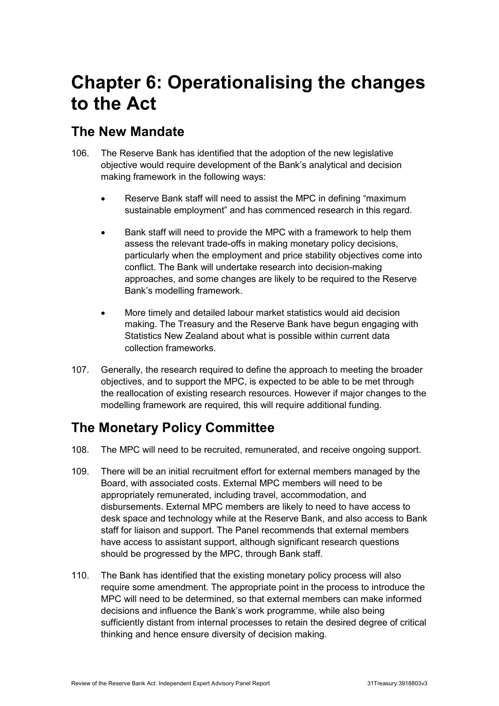## <span id="page-32-0"></span>**Chapter 6: Operationalising the changes to the Act**

### <span id="page-32-1"></span>**The New Mandate**

- 106. The Reserve Bank has identified that the adoption of the new legislative objective would require development of the Bank's analytical and decision making framework in the following ways:
	- Reserve Bank staff will need to assist the MPC in defining "maximum sustainable employment" and has commenced research in this regard.
	- Bank staff will need to provide the MPC with a framework to help them assess the relevant trade-offs in making monetary policy decisions, particularly when the employment and price stability objectives come into conflict. The Bank will undertake research into decision-making approaches, and some changes are likely to be required to the Reserve Bank's modelling framework.
	- More timely and detailed labour market statistics would aid decision making. The Treasury and the Reserve Bank have begun engaging with Statistics New Zealand about what is possible within current data collection frameworks.
- 107. Generally, the research required to define the approach to meeting the broader objectives, and to support the MPC, is expected to be able to be met through the reallocation of existing research resources. However if major changes to the modelling framework are required, this will require additional funding.

## <span id="page-32-2"></span>**The Monetary Policy Committee**

- 108. The MPC will need to be recruited, remunerated, and receive ongoing support.
- 109. There will be an initial recruitment effort for external members managed by the Board, with associated costs. External MPC members will need to be appropriately remunerated, including travel, accommodation, and disbursements. External MPC members are likely to need to have access to desk space and technology while at the Reserve Bank, and also access to Bank staff for liaison and support. The Panel recommends that external members have access to assistant support, although significant research questions should be progressed by the MPC, through Bank staff.
- 110. The Bank has identified that the existing monetary policy process will also require some amendment. The appropriate point in the process to introduce the MPC will need to be determined, so that external members can make informed decisions and influence the Bank's work programme, while also being sufficiently distant from internal processes to retain the desired degree of critical thinking and hence ensure diversity of decision making.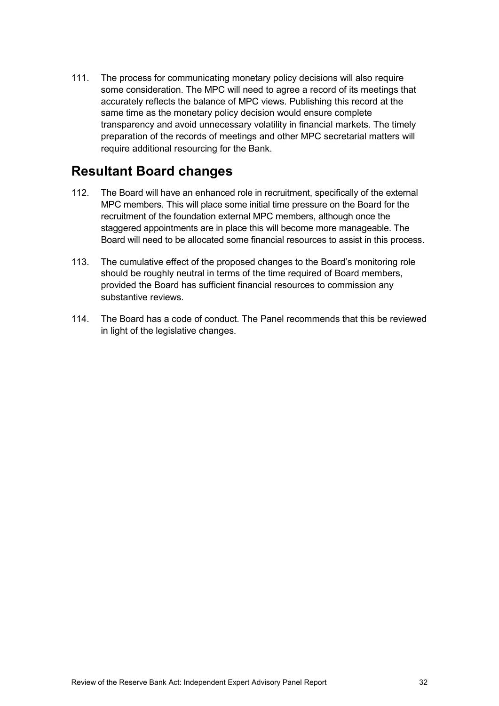111. The process for communicating monetary policy decisions will also require some consideration. The MPC will need to agree a record of its meetings that accurately reflects the balance of MPC views. Publishing this record at the same time as the monetary policy decision would ensure complete transparency and avoid unnecessary volatility in financial markets. The timely preparation of the records of meetings and other MPC secretarial matters will require additional resourcing for the Bank.

### <span id="page-33-0"></span>**Resultant Board changes**

- 112. The Board will have an enhanced role in recruitment, specifically of the external MPC members. This will place some initial time pressure on the Board for the recruitment of the foundation external MPC members, although once the staggered appointments are in place this will become more manageable. The Board will need to be allocated some financial resources to assist in this process.
- 113. The cumulative effect of the proposed changes to the Board's monitoring role should be roughly neutral in terms of the time required of Board members, provided the Board has sufficient financial resources to commission any substantive reviews.
- 114. The Board has a code of conduct. The Panel recommends that this be reviewed in light of the legislative changes.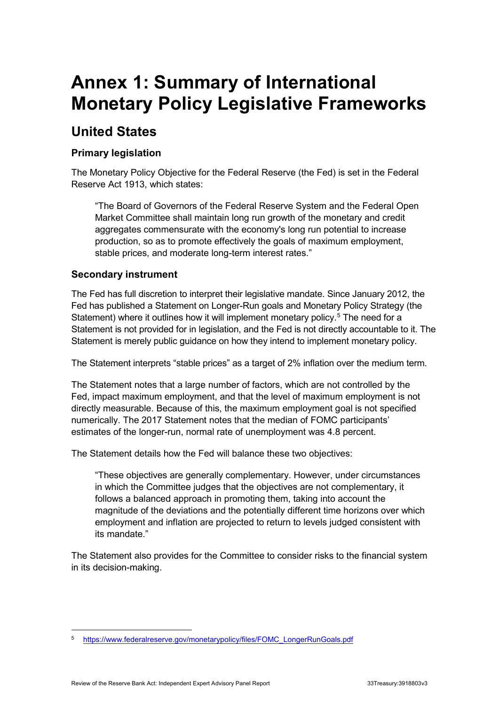## <span id="page-34-0"></span>**Annex 1: Summary of International Monetary Policy Legislative Frameworks**

## **United States**

### **Primary legislation**

The Monetary Policy Objective for the Federal Reserve (the Fed) is set in the Federal Reserve Act 1913, which states:

"The Board of Governors of the Federal Reserve System and the Federal Open Market Committee shall maintain long run growth of the monetary and credit aggregates commensurate with the economy's long run potential to increase production, so as to promote effectively the goals of maximum employment, stable prices, and moderate long-term interest rates."

### **Secondary instrument**

The Fed has full discretion to interpret their legislative mandate. Since January 2012, the Fed has published a Statement on Longer-Run goals and Monetary Policy Strategy (the Statement) where it outlines how it will implement monetary policy.<sup>[5](#page-34-1)</sup> The need for a Statement is not provided for in legislation, and the Fed is not directly accountable to it. The Statement is merely public guidance on how they intend to implement monetary policy.

The Statement interprets "stable prices" as a target of 2% inflation over the medium term.

The Statement notes that a large number of factors, which are not controlled by the Fed, impact maximum employment, and that the level of maximum employment is not directly measurable. Because of this, the maximum employment goal is not specified numerically. The 2017 Statement notes that the median of FOMC participants' estimates of the longer-run, normal rate of unemployment was 4.8 percent.

The Statement details how the Fed will balance these two objectives:

"These objectives are generally complementary. However, under circumstances in which the Committee judges that the objectives are not complementary, it follows a balanced approach in promoting them, taking into account the magnitude of the deviations and the potentially different time horizons over which employment and inflation are projected to return to levels judged consistent with its mandate."

The Statement also provides for the Committee to consider risks to the financial system in its decision-making.

<span id="page-34-1"></span> <sup>5</sup> [https://www.federalreserve.gov/monetarypolicy/files/FOMC\\_LongerRunGoals.pdf](https://www.federalreserve.gov/monetarypolicy/files/FOMC_LongerRunGoals.pdf)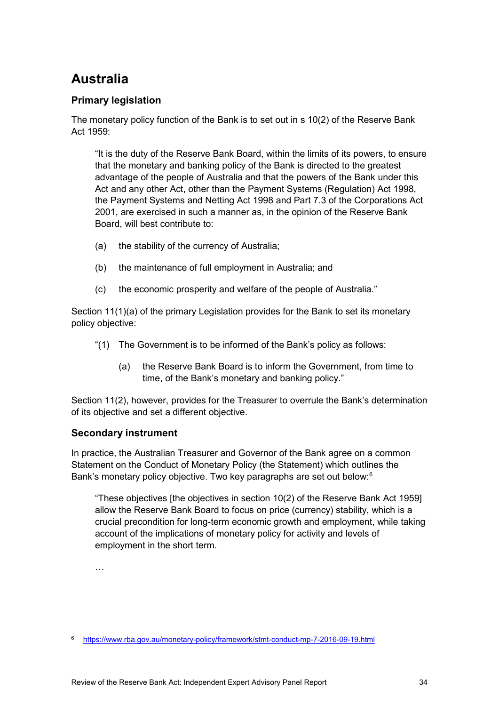## **Australia**

### **Primary legislation**

The monetary policy function of the Bank is to set out in s 10(2) of the Reserve Bank Act 1959:

"It is the duty of the Reserve Bank Board, within the limits of its powers, to ensure that the monetary and banking policy of the Bank is directed to the greatest advantage of the people of Australia and that the powers of the Bank under this Act and any other Act, other than the Payment Systems (Regulation) Act 1998, the Payment Systems and Netting Act 1998 and Part 7.3 of the Corporations Act 2001, are exercised in such a manner as, in the opinion of the Reserve Bank Board, will best contribute to:

- (a) the stability of the currency of Australia;
- (b) the maintenance of full employment in Australia; and
- (c) the economic prosperity and welfare of the people of Australia."

Section 11(1)(a) of the primary Legislation provides for the Bank to set its monetary policy objective:

- "(1) The Government is to be informed of the Bank's policy as follows:
	- (a) the Reserve Bank Board is to inform the Government, from time to time, of the Bank's monetary and banking policy."

Section 11(2), however, provides for the Treasurer to overrule the Bank's determination of its objective and set a different objective.

### **Secondary instrument**

In practice, the Australian Treasurer and Governor of the Bank agree on a common Statement on the Conduct of Monetary Policy (the Statement) which outlines the Bank's monetary policy objective. Two key paragraphs are set out below:<sup>[6](#page-35-0)</sup>

"These objectives [the objectives in section 10(2) of the Reserve Bank Act 1959] allow the Reserve Bank Board to focus on price (currency) stability, which is a crucial precondition for long-term economic growth and employment, while taking account of the implications of monetary policy for activity and levels of employment in the short term.

…

<span id="page-35-0"></span> <sup>6</sup> <https://www.rba.gov.au/monetary-policy/framework/stmt-conduct-mp-7-2016-09-19.html>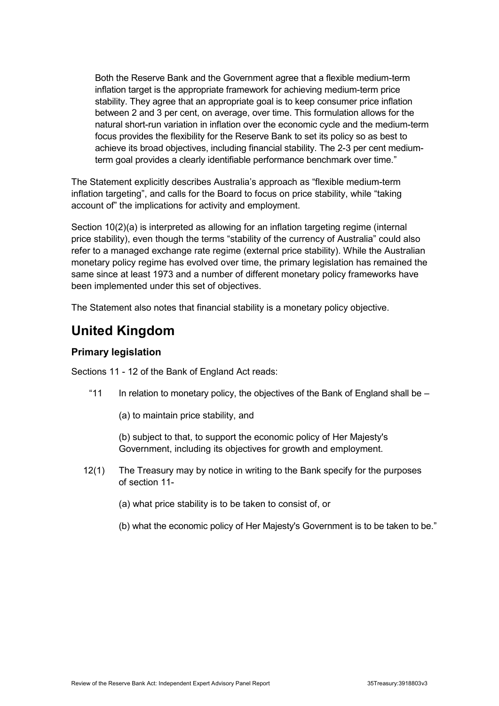Both the Reserve Bank and the Government agree that a flexible medium-term inflation target is the appropriate framework for achieving medium-term price stability. They agree that an appropriate goal is to keep consumer price inflation between 2 and 3 per cent, on average, over time. This formulation allows for the natural short-run variation in inflation over the economic cycle and the medium-term focus provides the flexibility for the Reserve Bank to set its policy so as best to achieve its broad objectives, including financial stability. The 2-3 per cent mediumterm goal provides a clearly identifiable performance benchmark over time."

The Statement explicitly describes Australia's approach as "flexible medium-term inflation targeting", and calls for the Board to focus on price stability, while "taking account of" the implications for activity and employment.

Section 10(2)(a) is interpreted as allowing for an inflation targeting regime (internal price stability), even though the terms "stability of the currency of Australia" could also refer to a managed exchange rate regime (external price stability). While the Australian monetary policy regime has evolved over time, the primary legislation has remained the same since at least 1973 and a number of different monetary policy frameworks have been implemented under this set of objectives.

The Statement also notes that financial stability is a monetary policy objective.

## **United Kingdom**

### **Primary legislation**

Sections 11 - 12 of the Bank of England Act reads:

- "11 In relation to monetary policy, the objectives of the Bank of England shall be  $-$ 
	- (a) to maintain price stability, and

(b) subject to that, to support the economic policy of Her Majesty's Government, including its objectives for growth and employment.

- 12(1) The Treasury may by notice in writing to the Bank specify for the purposes of section 11-
	- (a) what price stability is to be taken to consist of, or
	- (b) what the economic policy of Her Majesty's Government is to be taken to be."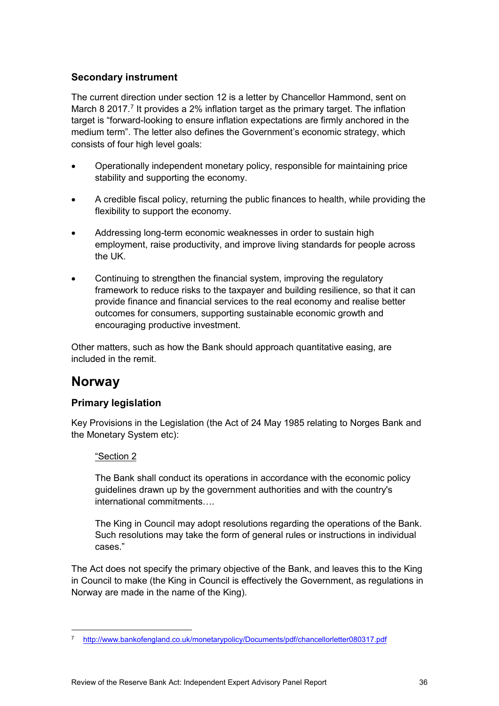### **Secondary instrument**

The current direction under section 12 is a letter by Chancellor Hammond, sent on March 8 201[7](#page-37-0).<sup>7</sup> It provides a 2% inflation target as the primary target. The inflation target is "forward-looking to ensure inflation expectations are firmly anchored in the medium term". The letter also defines the Government's economic strategy, which consists of four high level goals:

- Operationally independent monetary policy, responsible for maintaining price stability and supporting the economy.
- A credible fiscal policy, returning the public finances to health, while providing the flexibility to support the economy.
- Addressing long-term economic weaknesses in order to sustain high employment, raise productivity, and improve living standards for people across the UK.
- Continuing to strengthen the financial system, improving the regulatory framework to reduce risks to the taxpayer and building resilience, so that it can provide finance and financial services to the real economy and realise better outcomes for consumers, supporting sustainable economic growth and encouraging productive investment.

Other matters, such as how the Bank should approach quantitative easing, are included in the remit.

### **Norway**

### **Primary legislation**

Key Provisions in the Legislation (the Act of 24 May 1985 relating to Norges Bank and the Monetary System etc):

#### "Section 2

The Bank shall conduct its operations in accordance with the economic policy guidelines drawn up by the government authorities and with the country's international commitments….

The King in Council may adopt resolutions regarding the operations of the Bank. Such resolutions may take the form of general rules or instructions in individual cases."

The Act does not specify the primary objective of the Bank, and leaves this to the King in Council to make (the King in Council is effectively the Government, as regulations in Norway are made in the name of the King).

<span id="page-37-0"></span> <sup>7</sup> <http://www.bankofengland.co.uk/monetarypolicy/Documents/pdf/chancellorletter080317.pdf>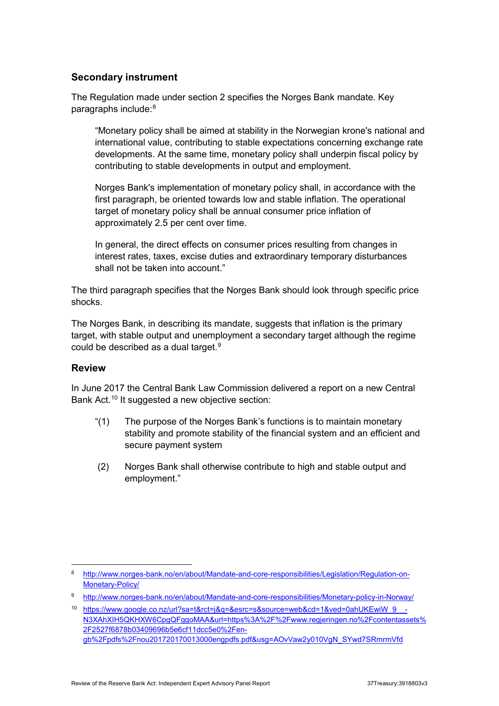### **Secondary instrument**

The Regulation made under section 2 specifies the Norges Bank mandate. Key paragraphs include:<sup>[8](#page-38-0)</sup>

"Monetary policy shall be aimed at stability in the Norwegian krone's national and international value, contributing to stable expectations concerning exchange rate developments. At the same time, monetary policy shall underpin fiscal policy by contributing to stable developments in output and employment.

Norges Bank's implementation of monetary policy shall, in accordance with the first paragraph, be oriented towards low and stable inflation. The operational target of monetary policy shall be annual consumer price inflation of approximately 2.5 per cent over time.

In general, the direct effects on consumer prices resulting from changes in interest rates, taxes, excise duties and extraordinary temporary disturbances shall not be taken into account."

The third paragraph specifies that the Norges Bank should look through specific price shocks.

The Norges Bank, in describing its mandate, suggests that inflation is the primary target, with stable output and unemployment a secondary target although the regime could be described as a dual target.[9](#page-38-1)

#### **Review**

In June 2017 the Central Bank Law Commission delivered a report on a new Central Bank Act.<sup>[10](#page-38-2)</sup> It suggested a new objective section:

- "(1) The purpose of the Norges Bank's functions is to maintain monetary stability and promote stability of the financial system and an efficient and secure payment system
- (2) Norges Bank shall otherwise contribute to high and stable output and employment."

<span id="page-38-0"></span> <sup>8</sup> [http://www.norges-bank.no/en/about/Mandate-and-core-responsibilities/Legislation/Regulation-on-](http://www.norges-bank.no/en/about/Mandate-and-core-responsibilities/Legislation/Regulation-on-Monetary-Policy/)[Monetary-Policy/](http://www.norges-bank.no/en/about/Mandate-and-core-responsibilities/Legislation/Regulation-on-Monetary-Policy/)

<span id="page-38-1"></span><sup>9</sup> <http://www.norges-bank.no/en/about/Mandate-and-core-responsibilities/Monetary-policy-in-Norway/>

<span id="page-38-2"></span><sup>10</sup> https://www.google.co.nz/url?sa=t&rct=j&q=&esrc=s&source=web&cd=1&ved=0ahUKEwiW\_9\_-[N3XAhXIH5QKHXW6CpgQFggoMAA&url=https%3A%2F%2Fwww.regjeringen.no%2Fcontentassets%](https://www.google.co.nz/url?sa=t&rct=j&q=&esrc=s&source=web&cd=1&ved=0ahUKEwiW_9__-N3XAhXIH5QKHXW6CpgQFggoMAA&url=https%3A%2F%2Fwww.regjeringen.no%2Fcontentassets%2F2527f6878b03409696b5e6cf11dcc5e0%2Fen-gb%2Fpdfs%2Fnou201720170013000engpdfs.pdf&usg=AOvVaw2y010VgN_SYwd7SRmrmVfd) [2F2527f6878b03409696b5e6cf11dcc5e0%2Fen](https://www.google.co.nz/url?sa=t&rct=j&q=&esrc=s&source=web&cd=1&ved=0ahUKEwiW_9__-N3XAhXIH5QKHXW6CpgQFggoMAA&url=https%3A%2F%2Fwww.regjeringen.no%2Fcontentassets%2F2527f6878b03409696b5e6cf11dcc5e0%2Fen-gb%2Fpdfs%2Fnou201720170013000engpdfs.pdf&usg=AOvVaw2y010VgN_SYwd7SRmrmVfd)[gb%2Fpdfs%2Fnou201720170013000engpdfs.pdf&usg=AOvVaw2y010VgN\\_SYwd7SRmrmVfd](https://www.google.co.nz/url?sa=t&rct=j&q=&esrc=s&source=web&cd=1&ved=0ahUKEwiW_9__-N3XAhXIH5QKHXW6CpgQFggoMAA&url=https%3A%2F%2Fwww.regjeringen.no%2Fcontentassets%2F2527f6878b03409696b5e6cf11dcc5e0%2Fen-gb%2Fpdfs%2Fnou201720170013000engpdfs.pdf&usg=AOvVaw2y010VgN_SYwd7SRmrmVfd)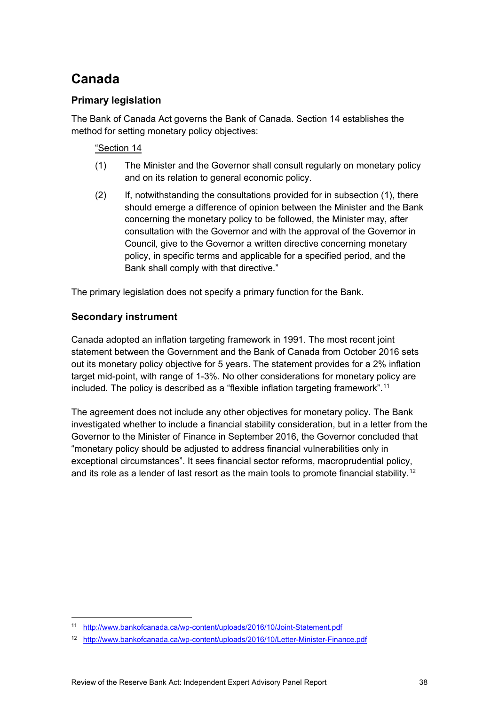## **Canada**

### **Primary legislation**

The Bank of Canada Act governs the Bank of Canada. Section 14 establishes the method for setting monetary policy objectives:

### "Section 14

- (1) The Minister and the Governor shall consult regularly on monetary policy and on its relation to general economic policy.
- (2) If, notwithstanding the consultations provided for in subsection (1), there should emerge a difference of opinion between the Minister and the Bank concerning the monetary policy to be followed, the Minister may, after consultation with the Governor and with the approval of the Governor in Council, give to the Governor a written directive concerning monetary policy, in specific terms and applicable for a specified period, and the Bank shall comply with that directive."

The primary legislation does not specify a primary function for the Bank.

### **Secondary instrument**

Canada adopted an inflation targeting framework in 1991. The most recent joint statement between the Government and the Bank of Canada from October 2016 sets out its monetary policy objective for 5 years. The statement provides for a 2% inflation target mid-point, with range of 1-3%. No other considerations for monetary policy are included. The policy is described as a "flexible inflation targeting framework". [11](#page-39-0)

The agreement does not include any other objectives for monetary policy. The Bank investigated whether to include a financial stability consideration, but in a letter from the Governor to the Minister of Finance in September 2016, the Governor concluded that "monetary policy should be adjusted to address financial vulnerabilities only in exceptional circumstances". It sees financial sector reforms, macroprudential policy, and its role as a lender of last resort as the main tools to promote financial stability.<sup>[12](#page-39-1)</sup>

<span id="page-39-0"></span> <sup>11</sup> <http://www.bankofcanada.ca/wp-content/uploads/2016/10/Joint-Statement.pdf>

<span id="page-39-1"></span><sup>12</sup> <http://www.bankofcanada.ca/wp-content/uploads/2016/10/Letter-Minister-Finance.pdf>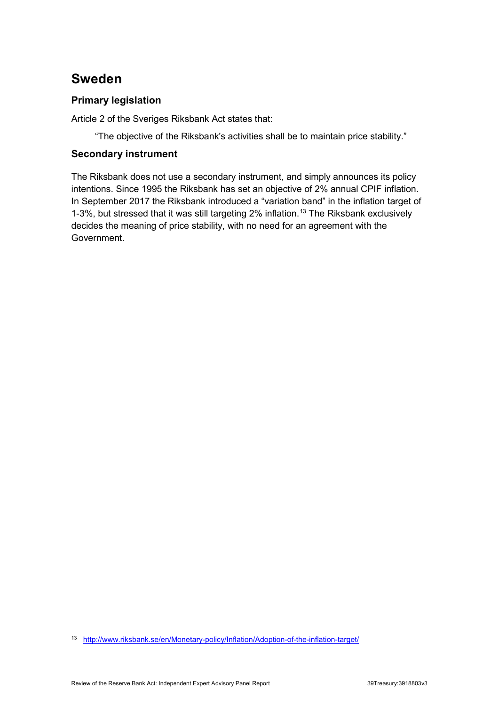## **Sweden**

### **Primary legislation**

Article 2 of the Sveriges Riksbank Act states that:

"The objective of the Riksbank's activities shall be to maintain price stability."

### **Secondary instrument**

The Riksbank does not use a secondary instrument, and simply announces its policy intentions. Since 1995 the Riksbank has set an objective of 2% annual CPIF inflation. In September 2017 the Riksbank introduced a "variation band" in the inflation target of 1-3%, but stressed that it was still targeting 2% inflation.<sup>[13](#page-40-0)</sup> The Riksbank exclusively decides the meaning of price stability, with no need for an agreement with the Government.

<span id="page-40-0"></span> <sup>13</sup> <http://www.riksbank.se/en/Monetary-policy/Inflation/Adoption-of-the-inflation-target/>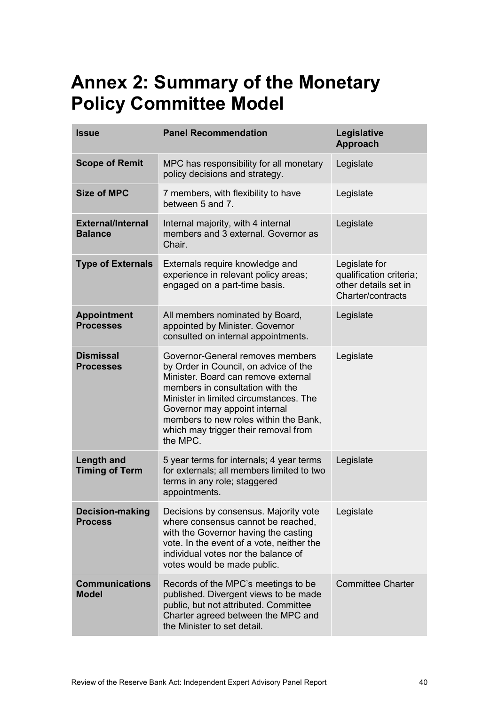## <span id="page-41-0"></span>**Annex 2: Summary of the Monetary Policy Committee Model**

| <b>Issue</b>                               | <b>Panel Recommendation</b>                                                                                                                                                                                                                                                                                                  | Legislative<br><b>Approach</b>                                                        |
|--------------------------------------------|------------------------------------------------------------------------------------------------------------------------------------------------------------------------------------------------------------------------------------------------------------------------------------------------------------------------------|---------------------------------------------------------------------------------------|
| <b>Scope of Remit</b>                      | MPC has responsibility for all monetary<br>policy decisions and strategy.                                                                                                                                                                                                                                                    | Legislate                                                                             |
| <b>Size of MPC</b>                         | 7 members, with flexibility to have<br>between 5 and 7.                                                                                                                                                                                                                                                                      | Legislate                                                                             |
| <b>External/Internal</b><br><b>Balance</b> | Internal majority, with 4 internal<br>members and 3 external. Governor as<br>Chair.                                                                                                                                                                                                                                          | Legislate                                                                             |
| <b>Type of Externals</b>                   | Externals require knowledge and<br>experience in relevant policy areas;<br>engaged on a part-time basis.                                                                                                                                                                                                                     | Legislate for<br>qualification criteria;<br>other details set in<br>Charter/contracts |
| <b>Appointment</b><br><b>Processes</b>     | All members nominated by Board,<br>appointed by Minister. Governor<br>consulted on internal appointments.                                                                                                                                                                                                                    | Legislate                                                                             |
| <b>Dismissal</b><br><b>Processes</b>       | Governor-General removes members<br>by Order in Council, on advice of the<br>Minister. Board can remove external<br>members in consultation with the<br>Minister in limited circumstances. The<br>Governor may appoint internal<br>members to new roles within the Bank,<br>which may trigger their removal from<br>the MPC. | Legislate                                                                             |
| <b>Length and</b><br><b>Timing of Term</b> | 5 year terms for internals; 4 year terms<br>for externals; all members limited to two<br>terms in any role; staggered<br>appointments.                                                                                                                                                                                       | Legislate                                                                             |
| <b>Decision-making</b><br><b>Process</b>   | Decisions by consensus. Majority vote<br>where consensus cannot be reached,<br>with the Governor having the casting<br>vote. In the event of a vote, neither the<br>individual votes nor the balance of<br>votes would be made public.                                                                                       | Legislate                                                                             |
| <b>Communications</b><br><b>Model</b>      | Records of the MPC's meetings to be<br>published. Divergent views to be made<br>public, but not attributed. Committee<br>Charter agreed between the MPC and<br>the Minister to set detail.                                                                                                                                   | <b>Committee Charter</b>                                                              |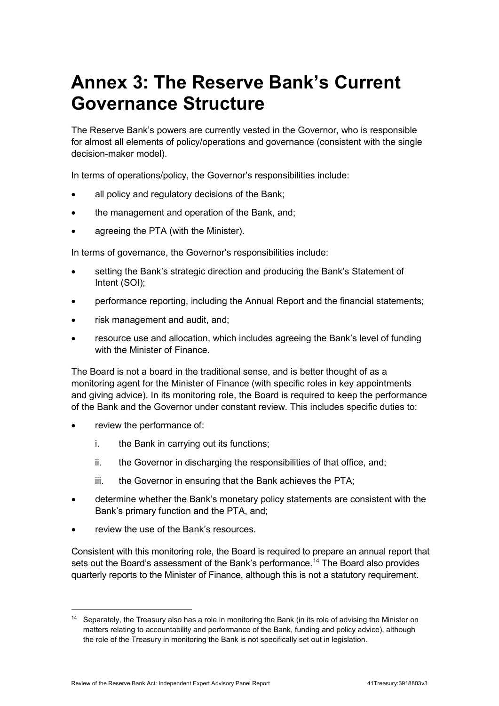## <span id="page-42-0"></span>**Annex 3: The Reserve Bank's Current Governance Structure**

The Reserve Bank's powers are currently vested in the Governor, who is responsible for almost all elements of policy/operations and governance (consistent with the single decision-maker model).

In terms of operations/policy, the Governor's responsibilities include:

- all policy and regulatory decisions of the Bank;
- the management and operation of the Bank, and;
- agreeing the PTA (with the Minister).

In terms of governance, the Governor's responsibilities include:

- setting the Bank's strategic direction and producing the Bank's Statement of Intent (SOI);
- performance reporting, including the Annual Report and the financial statements;
- risk management and audit, and;
- resource use and allocation, which includes agreeing the Bank's level of funding with the Minister of Finance.

The Board is not a board in the traditional sense, and is better thought of as a monitoring agent for the Minister of Finance (with specific roles in key appointments and giving advice). In its monitoring role, the Board is required to keep the performance of the Bank and the Governor under constant review. This includes specific duties to:

- review the performance of:
	- i. the Bank in carrying out its functions;
	- ii. the Governor in discharging the responsibilities of that office, and;
	- iii. the Governor in ensuring that the Bank achieves the PTA;
- determine whether the Bank's monetary policy statements are consistent with the Bank's primary function and the PTA, and;
- review the use of the Bank's resources.

Consistent with this monitoring role, the Board is required to prepare an annual report that sets out the Board's assessment of the Bank's performance.<sup>14</sup> The Board also provides quarterly reports to the Minister of Finance, although this is not a statutory requirement.

<span id="page-42-1"></span><sup>&</sup>lt;sup>14</sup> Separately, the Treasury also has a role in monitoring the Bank (in its role of advising the Minister on matters relating to accountability and performance of the Bank, funding and policy advice), although the role of the Treasury in monitoring the Bank is not specifically set out in legislation.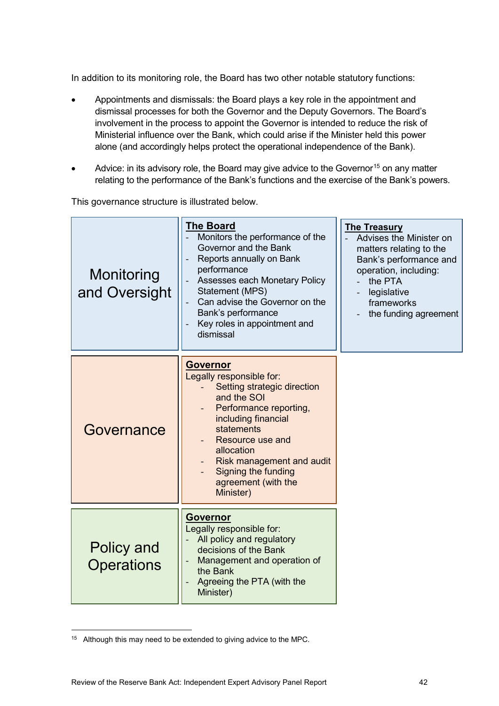In addition to its monitoring role, the Board has two other notable statutory functions:

- Appointments and dismissals: the Board plays a key role in the appointment and dismissal processes for both the Governor and the Deputy Governors. The Board's involvement in the process to appoint the Governor is intended to reduce the risk of Ministerial influence over the Bank, which could arise if the Minister held this power alone (and accordingly helps protect the operational independence of the Bank).
- Advice: in its advisory role, the Board may give advice to the Governor<sup>[15](#page-43-0)</sup> on any matter relating to the performance of the Bank's functions and the exercise of the Bank's powers.

This governance structure is illustrated below.

| Monitoring<br>and Oversight     | <b>The Board</b><br>Monitors the performance of the<br>Governor and the Bank<br>Reports annually on Bank<br>performance<br>Assesses each Monetary Policy<br>Statement (MPS)<br>Can advise the Governor on the<br>Bank's performance<br>Key roles in appointment and<br>$\blacksquare$<br>dismissal | <b>The Treasury</b><br>Advises the Minister on<br>matters relating to the<br>Bank's performance and<br>operation, including:<br>the PTA<br>legislative<br>frameworks<br>the funding agreement |
|---------------------------------|----------------------------------------------------------------------------------------------------------------------------------------------------------------------------------------------------------------------------------------------------------------------------------------------------|-----------------------------------------------------------------------------------------------------------------------------------------------------------------------------------------------|
| Governance                      | <b>Governor</b><br>Legally responsible for:<br>Setting strategic direction<br>and the SOI<br>Performance reporting,<br>including financial<br>statements<br>Resource use and<br>allocation<br><b>Risk management and audit</b><br>Signing the funding<br>agreement (with the<br>Minister)          |                                                                                                                                                                                               |
| Policy and<br><b>Operations</b> | Governor<br>Legally responsible for:<br>All policy and regulatory<br>decisions of the Bank<br>Management and operation of<br>the Bank<br>Agreeing the PTA (with the<br>Minister)                                                                                                                   |                                                                                                                                                                                               |

<span id="page-43-0"></span> $15$  Although this may need to be extended to giving advice to the MPC.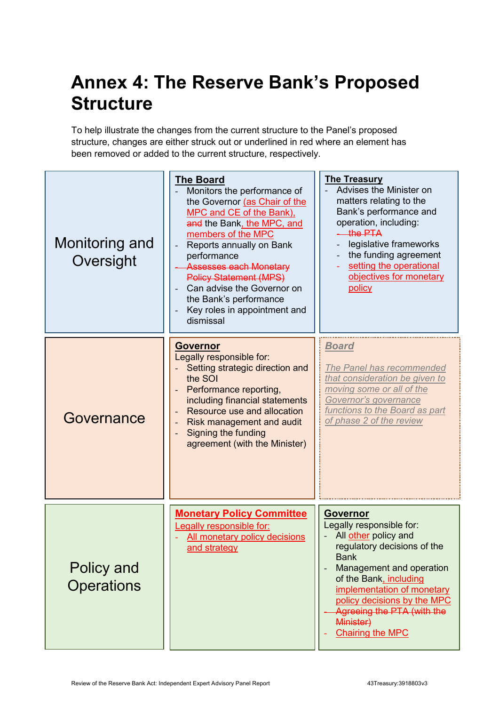## <span id="page-44-0"></span>**Annex 4: The Reserve Bank's Proposed Structure**

To help illustrate the changes from the current structure to the Panel's proposed structure, changes are either struck out or underlined in red where an element has been removed or added to the current structure, respectively.

| Monitoring and<br>Oversight     | <b>The Board</b><br>Monitors the performance of<br>the Governor (as Chair of the<br>MPC and CE of the Bank),<br>and the Bank, the MPC, and<br>members of the MPC<br>Reports annually on Bank<br>performance<br>Assesses each Monetary<br><b>Policy Statement (MPS)</b><br>Can advise the Governor on<br>the Bank's performance<br>Key roles in appointment and<br>$\overline{\phantom{a}}$<br>dismissal | <b>The Treasury</b><br>Advises the Minister on<br>matters relating to the<br>Bank's performance and<br>operation, including:<br>the PTA<br>legislative frameworks<br>the funding agreement<br>setting the operational<br>objectives for monetary<br>policy                                                                                    |
|---------------------------------|---------------------------------------------------------------------------------------------------------------------------------------------------------------------------------------------------------------------------------------------------------------------------------------------------------------------------------------------------------------------------------------------------------|-----------------------------------------------------------------------------------------------------------------------------------------------------------------------------------------------------------------------------------------------------------------------------------------------------------------------------------------------|
| Governance                      | <b>Governor</b><br>Legally responsible for:<br>Setting strategic direction and<br>the SOI<br>Performance reporting,<br>including financial statements<br>Resource use and allocation<br>$\overline{\phantom{a}}$<br>Risk management and audit<br><b>Signing the funding</b><br>agreement (with the Minister)                                                                                            | <u>Board</u><br>The Panel has recommended<br>that consideration be given to<br>moving some or all of the<br>Governor's governance<br>functions to the Board as part<br>of phase 2 of the review                                                                                                                                               |
| Policy and<br><b>Operations</b> | <b>Monetary Policy Committee</b><br><b>Legally responsible for:</b><br>All monetary policy decisions<br>and strategy                                                                                                                                                                                                                                                                                    | <b>Governor</b><br>Legally responsible for:<br>All <u>other</u> policy and<br>regulatory decisions of the<br><b>Bank</b><br>Management and operation<br>$\overline{\phantom{a}}$<br>of the Bank, including<br>implementation of monetary<br>policy decisions by the MPC<br>Agreeing the PTA (with the<br>Minister)<br><b>Chairing the MPC</b> |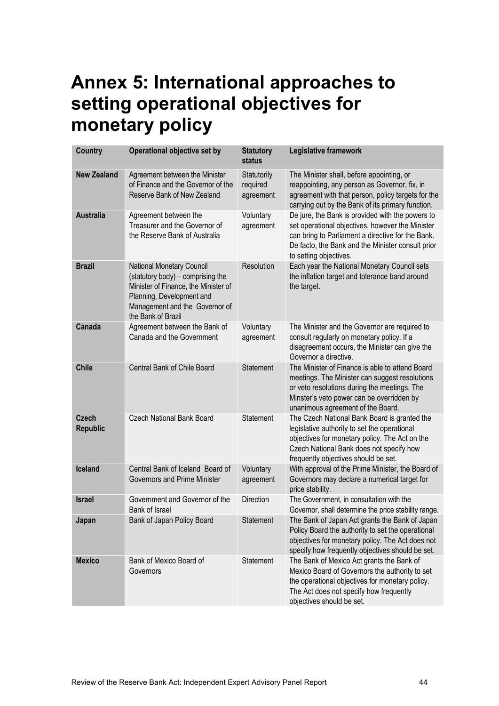## <span id="page-45-0"></span>**Annex 5: International approaches to setting operational objectives for monetary policy**

| <b>Country</b>                  | Operational objective set by                                                                                                                                                                | <b>Statutory</b><br>status           | Legislative framework                                                                                                                                                                                                                    |
|---------------------------------|---------------------------------------------------------------------------------------------------------------------------------------------------------------------------------------------|--------------------------------------|------------------------------------------------------------------------------------------------------------------------------------------------------------------------------------------------------------------------------------------|
| <b>New Zealand</b>              | Agreement between the Minister<br>of Finance and the Governor of the<br>Reserve Bank of New Zealand                                                                                         | Statutorily<br>required<br>agreement | The Minister shall, before appointing, or<br>reappointing, any person as Governor, fix, in<br>agreement with that person, policy targets for the<br>carrying out by the Bank of its primary function.                                    |
| <b>Australia</b>                | Agreement between the<br>Treasurer and the Governor of<br>the Reserve Bank of Australia                                                                                                     | Voluntary<br>agreement               | De jure, the Bank is provided with the powers to<br>set operational objectives, however the Minister<br>can bring to Parliament a directive for the Bank.<br>De facto, the Bank and the Minister consult prior<br>to setting objectives. |
| <b>Brazil</b>                   | National Monetary Council<br>(statutory body) - comprising the<br>Minister of Finance, the Minister of<br>Planning, Development and<br>Management and the Governor of<br>the Bank of Brazil | Resolution                           | Each year the National Monetary Council sets<br>the inflation target and tolerance band around<br>the target.                                                                                                                            |
| Canada                          | Agreement between the Bank of<br>Canada and the Government                                                                                                                                  | Voluntary<br>agreement               | The Minister and the Governor are required to<br>consult regularly on monetary policy. If a<br>disagreement occurs, the Minister can give the<br>Governor a directive.                                                                   |
| <b>Chile</b>                    | Central Bank of Chile Board                                                                                                                                                                 | Statement                            | The Minister of Finance is able to attend Board<br>meetings. The Minister can suggest resolutions<br>or veto resolutions during the meetings. The<br>Minster's veto power can be overridden by<br>unanimous agreement of the Board.      |
| <b>Czech</b><br><b>Republic</b> | <b>Czech National Bank Board</b>                                                                                                                                                            | Statement                            | The Czech National Bank Board is granted the<br>legislative authority to set the operational<br>objectives for monetary policy. The Act on the<br>Czech National Bank does not specify how<br>frequently objectives should be set.       |
| Iceland                         | Central Bank of Iceland Board of<br>Governors and Prime Minister                                                                                                                            | Voluntary<br>agreement               | With approval of the Prime Minister, the Board of<br>Governors may declare a numerical target for<br>price stability.                                                                                                                    |
| <b>Israel</b>                   | Government and Governor of the<br>Bank of Israel                                                                                                                                            | <b>Direction</b>                     | The Government, in consultation with the<br>Governor, shall determine the price stability range.                                                                                                                                         |
| Japan                           | Bank of Japan Policy Board                                                                                                                                                                  | Statement                            | The Bank of Japan Act grants the Bank of Japan<br>Policy Board the authority to set the operational<br>objectives for monetary policy. The Act does not<br>specify how frequently objectives should be set.                              |
| <b>Mexico</b>                   | Bank of Mexico Board of<br>Governors                                                                                                                                                        | Statement                            | The Bank of Mexico Act grants the Bank of<br>Mexico Board of Governors the authority to set<br>the operational objectives for monetary policy.<br>The Act does not specify how frequently<br>objectives should be set.                   |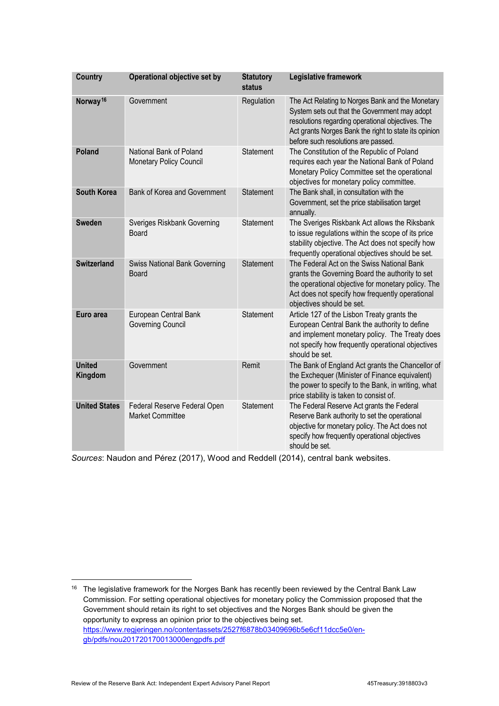| <b>Country</b>           | Operational objective set by                              | <b>Statutory</b><br><b>status</b> | Legislative framework                                                                                                                                                                                                                                  |
|--------------------------|-----------------------------------------------------------|-----------------------------------|--------------------------------------------------------------------------------------------------------------------------------------------------------------------------------------------------------------------------------------------------------|
| Norway <sup>16</sup>     | Government                                                | Regulation                        | The Act Relating to Norges Bank and the Monetary<br>System sets out that the Government may adopt<br>resolutions regarding operational objectives. The<br>Act grants Norges Bank the right to state its opinion<br>before such resolutions are passed. |
| <b>Poland</b>            | National Bank of Poland<br><b>Monetary Policy Council</b> | Statement                         | The Constitution of the Republic of Poland<br>requires each year the National Bank of Poland<br>Monetary Policy Committee set the operational<br>objectives for monetary policy committee.                                                             |
| <b>South Korea</b>       | Bank of Korea and Government                              | Statement                         | The Bank shall, in consultation with the<br>Government, set the price stabilisation target<br>annually.                                                                                                                                                |
| <b>Sweden</b>            | Sveriges Riskbank Governing<br><b>Board</b>               | Statement                         | The Sveriges Riskbank Act allows the Riksbank<br>to issue regulations within the scope of its price<br>stability objective. The Act does not specify how<br>frequently operational objectives should be set.                                           |
| <b>Switzerland</b>       | <b>Swiss National Bank Governing</b><br><b>Board</b>      | Statement                         | The Federal Act on the Swiss National Bank<br>grants the Governing Board the authority to set<br>the operational objective for monetary policy. The<br>Act does not specify how frequently operational<br>objectives should be set.                    |
| Euro area                | European Central Bank<br><b>Governing Council</b>         | Statement                         | Article 127 of the Lisbon Treaty grants the<br>European Central Bank the authority to define<br>and implement monetary policy. The Treaty does<br>not specify how frequently operational objectives<br>should be set.                                  |
| <b>United</b><br>Kingdom | Government                                                | Remit                             | The Bank of England Act grants the Chancellor of<br>the Exchequer (Minister of Finance equivalent)<br>the power to specify to the Bank, in writing, what<br>price stability is taken to consist of.                                                    |
| <b>United States</b>     | Federal Reserve Federal Open<br><b>Market Committee</b>   | Statement                         | The Federal Reserve Act grants the Federal<br>Reserve Bank authority to set the operational<br>objective for monetary policy. The Act does not<br>specify how frequently operational objectives<br>should be set.                                      |

*Sources*: Naudon and Pérez (2017), Wood and Reddell (2014), central bank websites.

<span id="page-46-0"></span><sup>&</sup>lt;sup>16</sup> The legislative framework for the Norges Bank has recently been reviewed by the Central Bank Law Commission. For setting operational objectives for monetary policy the Commission proposed that the Government should retain its right to set objectives and the Norges Bank should be given the opportunity to express an opinion prior to the objectives being set. [https://www.regjeringen.no/contentassets/2527f6878b03409696b5e6cf11dcc5e0/en](https://www.regjeringen.no/contentassets/2527f6878b03409696b5e6cf11dcc5e0/en-gb/pdfs/nou201720170013000engpdfs.pdf)[gb/pdfs/nou201720170013000engpdfs.pdf](https://www.regjeringen.no/contentassets/2527f6878b03409696b5e6cf11dcc5e0/en-gb/pdfs/nou201720170013000engpdfs.pdf)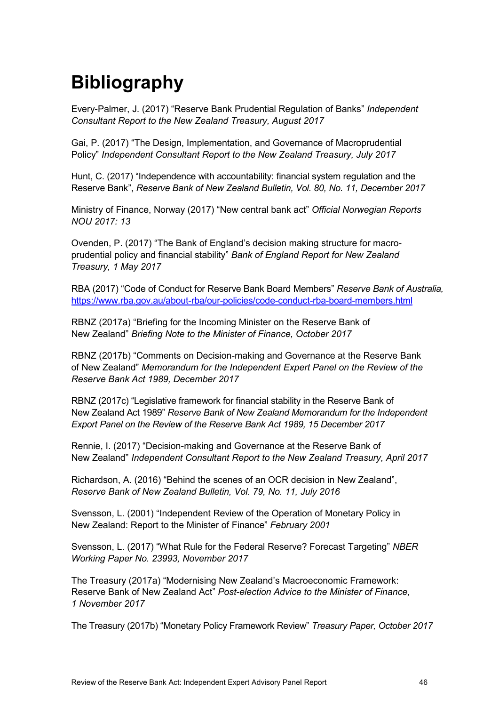## <span id="page-47-0"></span>**Bibliography**

Every-Palmer, J. (2017) "Reserve Bank Prudential Regulation of Banks" *Independent Consultant Report to the New Zealand Treasury, August 2017*

Gai, P. (2017) "The Design, Implementation, and Governance of Macroprudential Policy" *Independent Consultant Report to the New Zealand Treasury, July 2017*

Hunt, C. (2017) "Independence with accountability: financial system regulation and the Reserve Bank", *Reserve Bank of New Zealand Bulletin, Vol. 80, No. 11, December 2017*

Ministry of Finance, Norway (2017) "New central bank act" *Official Norwegian Reports NOU 2017: 13* 

Ovenden, P. (2017) "The Bank of England's decision making structure for macroprudential policy and financial stability" *Bank of England Report for New Zealand Treasury, 1 May 2017*

RBA (2017) "Code of Conduct for Reserve Bank Board Members" *Reserve Bank of Australia,*  <https://www.rba.gov.au/about-rba/our-policies/code-conduct-rba-board-members.html>

RBNZ (2017a) "Briefing for the Incoming Minister on the Reserve Bank of New Zealand" *Briefing Note to the Minister of Finance, October 2017*

RBNZ (2017b) "Comments on Decision-making and Governance at the Reserve Bank of New Zealand" *Memorandum for the Independent Expert Panel on the Review of the Reserve Bank Act 1989, December 2017*

RBNZ (2017c) "Legislative framework for financial stability in the Reserve Bank of New Zealand Act 1989" *Reserve Bank of New Zealand Memorandum for the Independent Export Panel on the Review of the Reserve Bank Act 1989, 15 December 2017*

Rennie, I. (2017) "Decision-making and Governance at the Reserve Bank of New Zealand" *Independent Consultant Report to the New Zealand Treasury, April 2017*

Richardson, A. (2016) "Behind the scenes of an OCR decision in New Zealand", *Reserve Bank of New Zealand Bulletin, Vol. 79, No. 11, July 2016*

Svensson, L. (2001) "Independent Review of the Operation of Monetary Policy in New Zealand: Report to the Minister of Finance" *February 2001*

Svensson, L. (2017) "What Rule for the Federal Reserve? Forecast Targeting" *NBER Working Paper No. 23993, November 2017* 

The Treasury (2017a) "Modernising New Zealand's Macroeconomic Framework: Reserve Bank of New Zealand Act" *Post-election Advice to the Minister of Finance, 1 November 2017*

The Treasury (2017b) "Monetary Policy Framework Review" *Treasury Paper, October 2017*